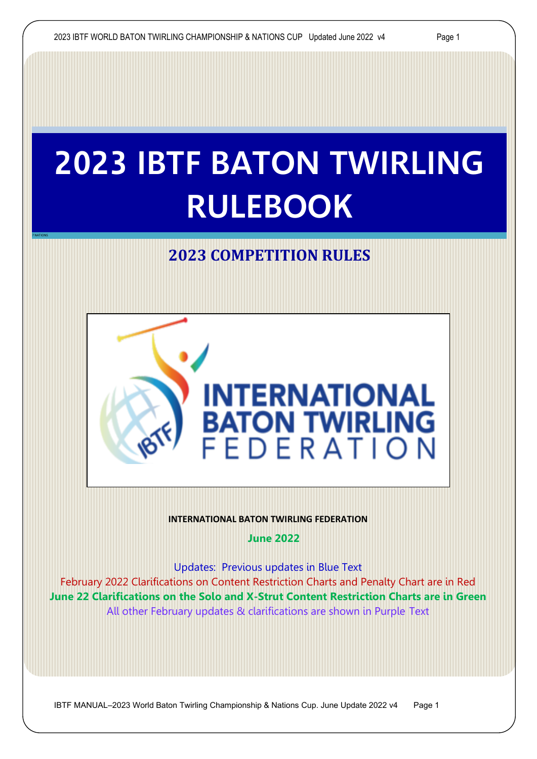7 NATIONS

# **2023 IBTF BATON TWIRLING RULEBOOK**

# **2023 COMPETITION RULES**



#### **INTERNATIONAL BATON TWIRLING FEDERATION**

**June 2022** 

Updates: Previous updates in Blue Text

February 2022 Clarifications on Content Restriction Charts and Penalty Chart are in Red **June 22 Clarifications on the Solo and X-Strut Content Restriction Charts are in Green**  All other February updates & clarifications are shown in Purple Text

IBTF MANUAL–2023 World Baton Twirling Championship & Nations Cup. June Update 2022 v4 Page 1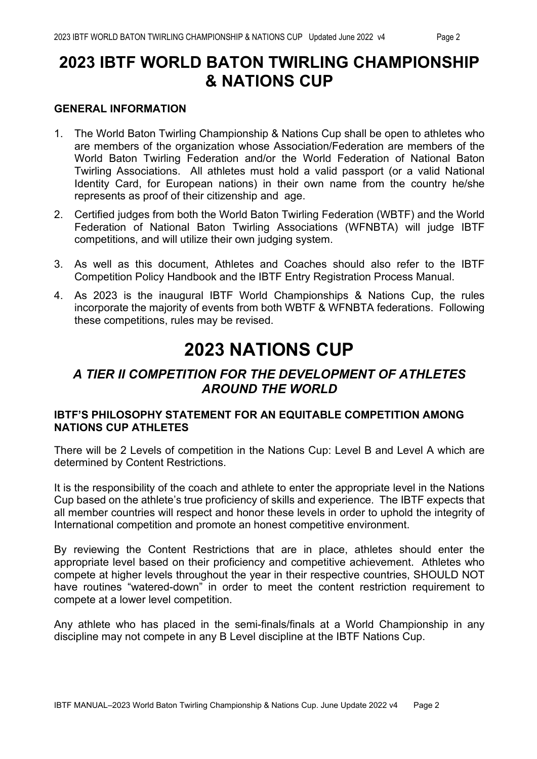# **2023 IBTF WORLD BATON TWIRLING CHAMPIONSHIP & NATIONS CUP**

#### **GENERAL INFORMATION**

- 1. The World Baton Twirling Championship & Nations Cup shall be open to athletes who are members of the organization whose Association/Federation are members of the World Baton Twirling Federation and/or the World Federation of National Baton Twirling Associations. All athletes must hold a valid passport (or a valid National Identity Card, for European nations) in their own name from the country he/she represents as proof of their citizenship and age.
- 2. Certified judges from both the World Baton Twirling Federation (WBTF) and the World Federation of National Baton Twirling Associations (WFNBTA) will judge IBTF competitions, and will utilize their own judging system.
- 3. As well as this document, Athletes and Coaches should also refer to the IBTF Competition Policy Handbook and the IBTF Entry Registration Process Manual.
- 4. As 2023 is the inaugural IBTF World Championships & Nations Cup, the rules incorporate the majority of events from both WBTF & WFNBTA federations. Following these competitions, rules may be revised.

# **2023 NATIONS CUP**

## *A TIER II COMPETITION FOR THE DEVELOPMENT OF ATHLETES AROUND THE WORLD*

#### **IBTF'S PHILOSOPHY STATEMENT FOR AN EQUITABLE COMPETITION AMONG NATIONS CUP ATHLETES**

There will be 2 Levels of competition in the Nations Cup: Level B and Level A which are determined by Content Restrictions.

It is the responsibility of the coach and athlete to enter the appropriate level in the Nations Cup based on the athlete's true proficiency of skills and experience. The IBTF expects that all member countries will respect and honor these levels in order to uphold the integrity of International competition and promote an honest competitive environment.

By reviewing the Content Restrictions that are in place, athletes should enter the appropriate level based on their proficiency and competitive achievement. Athletes who compete at higher levels throughout the year in their respective countries, SHOULD NOT have routines "watered-down" in order to meet the content restriction requirement to compete at a lower level competition.

Any athlete who has placed in the semi-finals/finals at a World Championship in any discipline may not compete in any B Level discipline at the IBTF Nations Cup.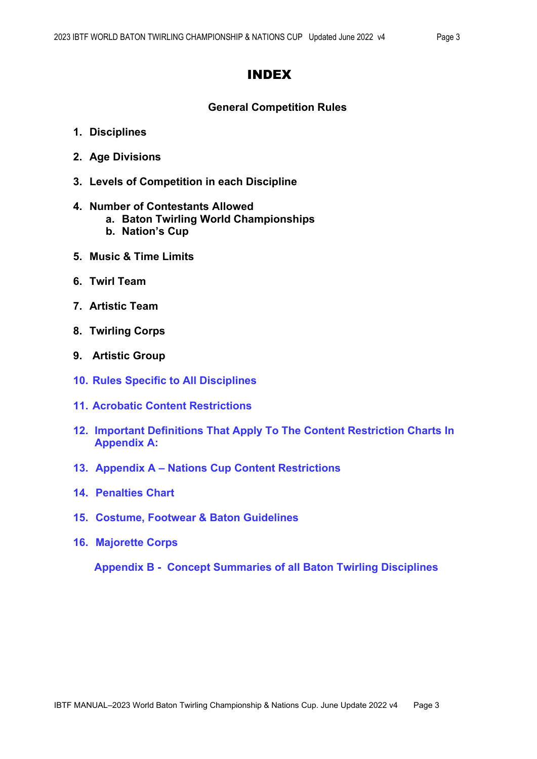#### INDEX

#### **General Competition Rules**

- **1. Disciplines**
- **2. Age Divisions**
- **3. Levels of Competition in each Discipline**

#### **4. Number of Contestants Allowed**

- **a. Baton Twirling World Championships**
- **b. Nation's Cup**
- **5. Music & Time Limits**
- **6. Twirl Team**
- **7. Artistic Team**
- **8. Twirling Corps**
- **9. Artistic Group**
- **10. Rules Specific to All Disciplines**
- **11. Acrobatic Content Restrictions**
- **12. Important Definitions That Apply To The Content Restriction Charts In Appendix A:**
- **13. Appendix A – Nations Cup Content Restrictions**
- **14. Penalties Chart**
- **15. Costume, Footwear & Baton Guidelines**
- **16. Majorette Corps**

 **Appendix B - Concept Summaries of all Baton Twirling Disciplines**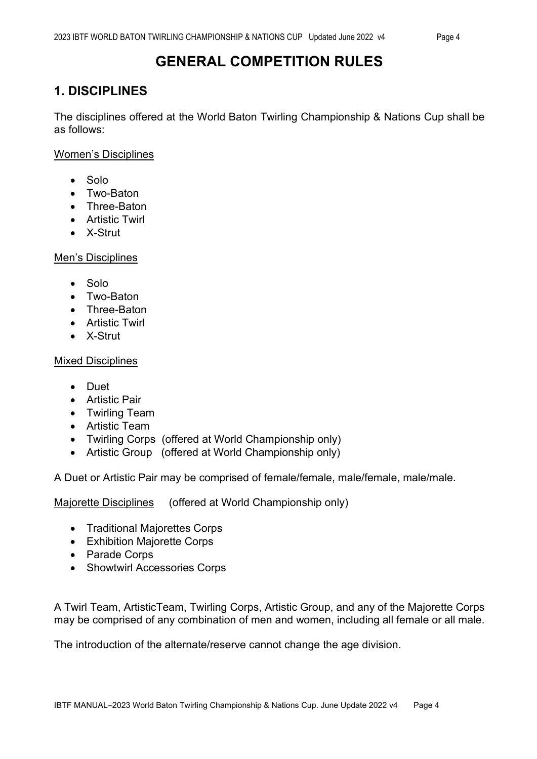# **1. DISCIPLINES**

The disciplines offered at the World Baton Twirling Championship & Nations Cup shall be as follows:

Women's Disciplines

- Solo
- Two-Baton
- Three-Baton
- Artistic Twirl
- X-Strut

Men's Disciplines

- Solo
- Two-Baton
- Three-Baton
- Artistic Twirl
- X-Strut

**Mixed Disciplines** 

- Duet
- Artistic Pair
- Twirling Team
- Artistic Team
- Twirling Corps (offered at World Championship only)
- Artistic Group (offered at World Championship only)

A Duet or Artistic Pair may be comprised of female/female, male/female, male/male.

Majorette Disciplines (offered at World Championship only)

- Traditional Majorettes Corps
- Exhibition Majorette Corps
- Parade Corps
- Showtwirl Accessories Corps

A Twirl Team, ArtisticTeam, Twirling Corps, Artistic Group, and any of the Majorette Corps may be comprised of any combination of men and women, including all female or all male.

The introduction of the alternate/reserve cannot change the age division.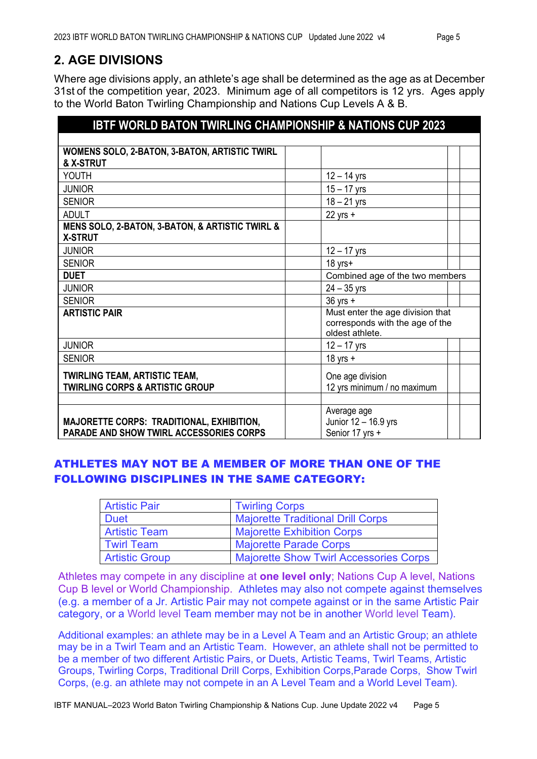# **2. AGE DIVISIONS**

Where age divisions apply, an athlete's age shall be determined as the age as at December 31st of the competition year, 2023. Minimum age of all competitors is 12 yrs. Ages apply to the World Baton Twirling Championship and Nations Cup Levels A & B.

| <b>IBTF WORLD BATON TWIRLING CHAMPIONSHIP &amp; NATIONS CUP 2023</b>               |                                                                                        |  |
|------------------------------------------------------------------------------------|----------------------------------------------------------------------------------------|--|
|                                                                                    |                                                                                        |  |
| WOMENS SOLO, 2-BATON, 3-BATON, ARTISTIC TWIRL                                      |                                                                                        |  |
| & X-STRUT                                                                          |                                                                                        |  |
| YOUTH                                                                              | $12 - 14$ yrs                                                                          |  |
| <b>JUNIOR</b>                                                                      | $15 - 17$ yrs                                                                          |  |
| <b>SENIOR</b>                                                                      | $18 - 21$ yrs                                                                          |  |
| <b>ADULT</b>                                                                       | $22$ yrs $+$                                                                           |  |
| MENS SOLO, 2-BATON, 3-BATON, & ARTISTIC TWIRL &                                    |                                                                                        |  |
| <b>X-STRUT</b>                                                                     |                                                                                        |  |
| <b>JUNIOR</b>                                                                      | $12 - 17$ yrs                                                                          |  |
| <b>SENIOR</b>                                                                      | $18$ yrs $+$                                                                           |  |
| <b>DUET</b>                                                                        | Combined age of the two members                                                        |  |
| <b>JUNIOR</b>                                                                      | $24 - 35$ yrs                                                                          |  |
| <b>SENIOR</b>                                                                      | $36$ yrs $+$                                                                           |  |
| <b>ARTISTIC PAIR</b>                                                               | Must enter the age division that<br>corresponds with the age of the<br>oldest athlete. |  |
| <b>JUNIOR</b>                                                                      | $12 - 17$ yrs                                                                          |  |
| <b>SENIOR</b>                                                                      | $18$ yrs $+$                                                                           |  |
| <b>TWIRLING TEAM, ARTISTIC TEAM,</b><br><b>TWIRLING CORPS &amp; ARTISTIC GROUP</b> | One age division<br>12 yrs minimum / no maximum                                        |  |
| <b>MAJORETTE CORPS: TRADITIONAL, EXHIBITION,</b>                                   | Average age<br>Junior 12 - 16.9 yrs                                                    |  |
| <b>PARADE AND SHOW TWIRL ACCESSORIES CORPS</b>                                     | Senior 17 yrs +                                                                        |  |

#### ATHLETES MAY NOT BE A MEMBER OF MORE THAN ONE OF THE FOLLOWING DISCIPLINES IN THE SAME CATEGORY:

| <b>Artistic Pair</b>  | <b>Twirling Corps</b>                         |
|-----------------------|-----------------------------------------------|
| <b>Duet</b>           | <b>Majorette Traditional Drill Corps</b>      |
| <b>Artistic Team</b>  | <b>Majorette Exhibition Corps</b>             |
| Twirl Team            | <b>Majorette Parade Corps</b>                 |
| <b>Artistic Group</b> | <b>Majorette Show Twirl Accessories Corps</b> |

Athletes may compete in any discipline at **one level only**; Nations Cup A level, Nations Cup B level or World Championship. Athletes may also not compete against themselves (e.g. a member of a Jr. Artistic Pair may not compete against or in the same Artistic Pair category, or a World level Team member may not be in another World level Team).

Additional examples: an athlete may be in a Level A Team and an Artistic Group; an athlete may be in a Twirl Team and an Artistic Team. However, an athlete shall not be permitted to be a member of two different Artistic Pairs, or Duets, Artistic Teams, Twirl Teams, Artistic Groups, Twirling Corps, Traditional Drill Corps, Exhibition Corps,Parade Corps, Show Twirl Corps, (e.g. an athlete may not compete in an A Level Team and a World Level Team).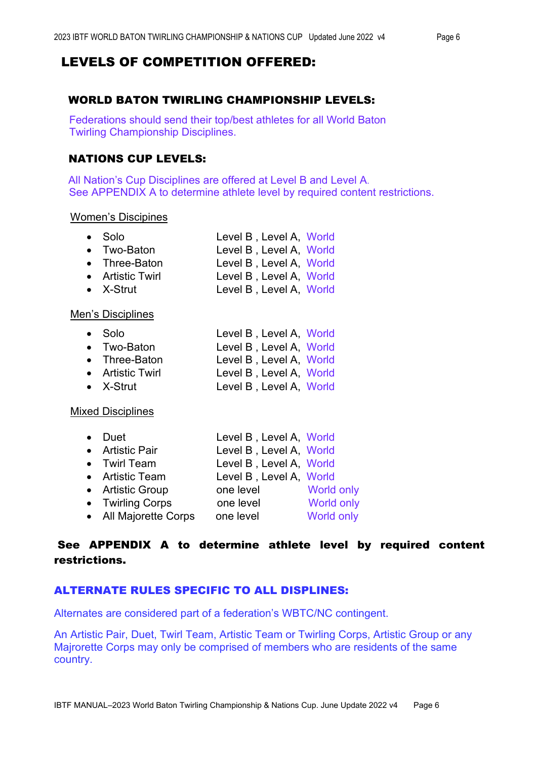## LEVELS OF COMPETITION OFFERED:

#### WORLD BATON TWIRLING CHAMPIONSHIP LEVELS:

 Federations should send their top/best athletes for all World Baton Twirling Championship Disciplines.

#### NATIONS CUP LEVELS:

 All Nation's Cup Disciplines are offered at Level B and Level A. See APPENDIX A to determine athlete level by required content restrictions.

#### Women's Discipines

| $\bullet$ Solo    | Level B, Level A, World |  |
|-------------------|-------------------------|--|
| • Two-Baton       | Level B, Level A, World |  |
| • Three-Baton     | Level B, Level A, World |  |
| • Artistic Twirl  | Level B, Level A, World |  |
| $\bullet$ X-Strut | Level B, Level A, World |  |
|                   |                         |  |

#### Men's Disciplines

| ● Solo              | Level B, Level A, World       |  |
|---------------------|-------------------------------|--|
| $\bullet$ Two-Baton | Level B, Level A, World       |  |
| • Three-Baton       | Level B, Level A, World       |  |
| Articlic Turrich    | أحاسم المنادي المنادي المنادي |  |

• Artistic Twirl Level B , Level A, World • X-Strut Level B, Level A, World

#### Mixed Disciplines

| • Duet                | Level B, Level A, World |                   |
|-----------------------|-------------------------|-------------------|
| • Artistic Pair       | Level B, Level A, World |                   |
| • Twirl Team          | Level B, Level A, World |                   |
| • Artistic Team       | Level B, Level A, World |                   |
| • Artistic Group      | one level               | <b>World only</b> |
| • Twirling Corps      | one level               | <b>World only</b> |
| • All Majorette Corps | one level               | World only        |

#### See APPENDIX A to determine athlete level by required content restrictions.

#### ALTERNATE RULES SPECIFIC TO ALL DISPLINES:

Alternates are considered part of a federation's WBTC/NC contingent.

An Artistic Pair, Duet, Twirl Team, Artistic Team or Twirling Corps, Artistic Group or any Majrorette Corps may only be comprised of members who are residents of the same country.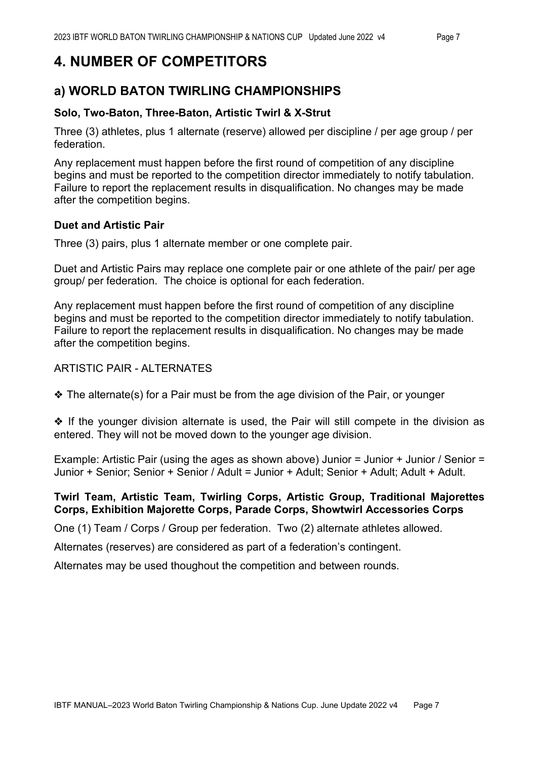# **4. NUMBER OF COMPETITORS**

# **a) WORLD BATON TWIRLING CHAMPIONSHIPS**

#### **Solo, Two-Baton, Three-Baton, Artistic Twirl & X-Strut**

Three (3) athletes, plus 1 alternate (reserve) allowed per discipline / per age group / per federation.

Any replacement must happen before the first round of competition of any discipline begins and must be reported to the competition director immediately to notify tabulation. Failure to report the replacement results in disqualification. No changes may be made after the competition begins.

#### **Duet and Artistic Pair**

Three (3) pairs, plus 1 alternate member or one complete pair.

Duet and Artistic Pairs may replace one complete pair or one athlete of the pair/ per age group/ per federation. The choice is optional for each federation.

Any replacement must happen before the first round of competition of any discipline begins and must be reported to the competition director immediately to notify tabulation. Failure to report the replacement results in disqualification. No changes may be made after the competition begins.

#### ARTISTIC PAIR - ALTERNATES

❖ The alternate(s) for a Pair must be from the age division of the Pair, or younger

❖ If the younger division alternate is used, the Pair will still compete in the division as entered. They will not be moved down to the younger age division.

Example: Artistic Pair (using the ages as shown above) Junior = Junior + Junior / Senior = Junior + Senior; Senior + Senior / Adult = Junior + Adult; Senior + Adult; Adult + Adult.

#### **Twirl Team, Artistic Team, Twirling Corps, Artistic Group, Traditional Majorettes Corps, Exhibition Majorette Corps, Parade Corps, Showtwirl Accessories Corps**

One (1) Team / Corps / Group per federation. Two (2) alternate athletes allowed.

Alternates (reserves) are considered as part of a federation's contingent.

Alternates may be used thoughout the competition and between rounds.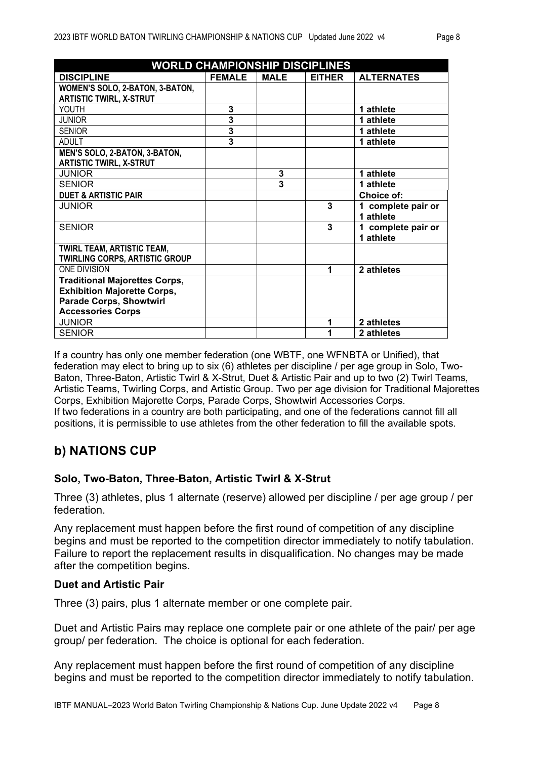| <b>WORLD CHAMPIONSHIP DISCIPLINES</b> |                |                         |               |                    |
|---------------------------------------|----------------|-------------------------|---------------|--------------------|
| <b>DISCIPLINE</b>                     | <b>FEMALE</b>  | <b>MALE</b>             | <b>EITHER</b> | <b>ALTERNATES</b>  |
| WOMEN'S SOLO, 2-BATON, 3-BATON,       |                |                         |               |                    |
| <b>ARTISTIC TWIRL, X-STRUT</b>        |                |                         |               |                    |
| YOUTH                                 | 3              |                         |               | 1 athlete          |
| <b>JUNIOR</b>                         | $\overline{3}$ |                         |               | 1 athlete          |
| <b>SENIOR</b>                         | 3              |                         |               | 1 athlete          |
| <b>ADULT</b>                          | 3              |                         |               | 1 athlete          |
| MEN'S SOLO, 2-BATON, 3-BATON,         |                |                         |               |                    |
| <b>ARTISTIC TWIRL, X-STRUT</b>        |                |                         |               |                    |
| <b>JUNIOR</b>                         |                | 3                       |               | 1 athlete          |
| <b>SENIOR</b>                         |                | $\overline{\mathbf{3}}$ |               | 1 athlete          |
| <b>DUET &amp; ARTISTIC PAIR</b>       |                |                         |               | Choice of:         |
| <b>JUNIOR</b>                         |                |                         | 3             | 1 complete pair or |
|                                       |                |                         |               | 1 athlete          |
| <b>SENIOR</b>                         |                |                         | 3             | 1 complete pair or |
|                                       |                |                         |               | 1 athlete          |
| <b>TWIRL TEAM, ARTISTIC TEAM,</b>     |                |                         |               |                    |
| <b>TWIRLING CORPS, ARTISTIC GROUP</b> |                |                         |               |                    |
| <b>ONE DIVISION</b>                   |                |                         | 1             | 2 athletes         |
| <b>Traditional Majorettes Corps,</b>  |                |                         |               |                    |
| <b>Exhibition Majorette Corps,</b>    |                |                         |               |                    |
| <b>Parade Corps, Showtwirl</b>        |                |                         |               |                    |
| <b>Accessories Corps</b>              |                |                         |               |                    |
| <b>JUNIOR</b>                         |                |                         | 1             | 2 athletes         |
| <b>SENIOR</b>                         |                |                         | 1             | 2 athletes         |

If a country has only one member federation (one WBTF, one WFNBTA or Unified), that federation may elect to bring up to six (6) athletes per discipline / per age group in Solo, Two-Baton, Three-Baton, Artistic Twirl & X-Strut, Duet & Artistic Pair and up to two (2) Twirl Teams, Artistic Teams, Twirling Corps, and Artistic Group. Two per age division for Traditional Majorettes Corps, Exhibition Majorette Corps, Parade Corps, Showtwirl Accessories Corps. If two federations in a country are both participating, and one of the federations cannot fill all positions, it is permissible to use athletes from the other federation to fill the available spots.

# **b) NATIONS CUP**

#### **Solo, Two-Baton, Three-Baton, Artistic Twirl & X-Strut**

Three (3) athletes, plus 1 alternate (reserve) allowed per discipline / per age group / per federation.

Any replacement must happen before the first round of competition of any discipline begins and must be reported to the competition director immediately to notify tabulation. Failure to report the replacement results in disqualification. No changes may be made after the competition begins.

#### **Duet and Artistic Pair**

Three (3) pairs, plus 1 alternate member or one complete pair.

Duet and Artistic Pairs may replace one complete pair or one athlete of the pair/ per age group/ per federation. The choice is optional for each federation.

Any replacement must happen before the first round of competition of any discipline begins and must be reported to the competition director immediately to notify tabulation.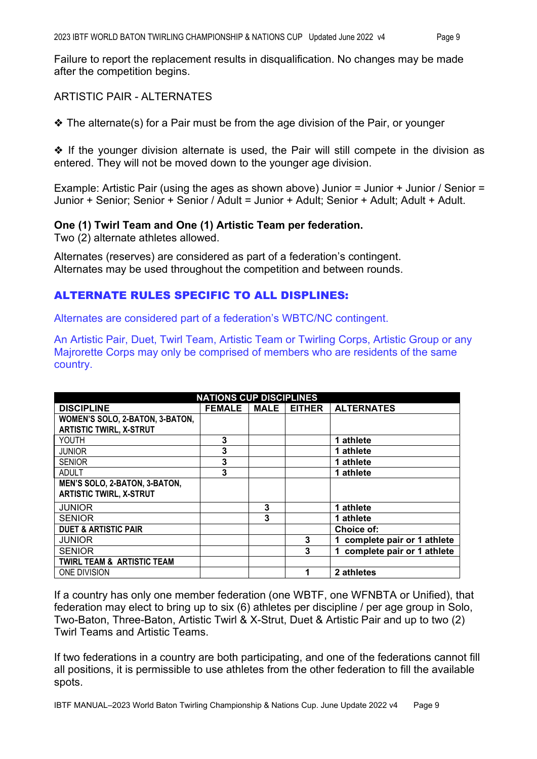Failure to report the replacement results in disqualification. No changes may be made after the competition begins.

#### ARTISTIC PAIR - ALTERNATES

❖ The alternate(s) for a Pair must be from the age division of the Pair, or younger

❖ If the younger division alternate is used, the Pair will still compete in the division as entered. They will not be moved down to the younger age division.

Example: Artistic Pair (using the ages as shown above) Junior = Junior + Junior / Senior = Junior + Senior; Senior + Senior / Adult = Junior + Adult; Senior + Adult; Adult + Adult.

#### **One (1) Twirl Team and One (1) Artistic Team per federation.**

Two (2) alternate athletes allowed.

Alternates (reserves) are considered as part of a federation's contingent. Alternates may be used throughout the competition and between rounds.

#### ALTERNATE RULES SPECIFIC TO ALL DISPLINES:

Alternates are considered part of a federation's WBTC/NC contingent.

An Artistic Pair, Duet, Twirl Team, Artistic Team or Twirling Corps, Artistic Group or any Majrorette Corps may only be comprised of members who are residents of the same country.

|                                       | <b>NATIONS CUP DISCIPLINES</b> |             |               |                                 |
|---------------------------------------|--------------------------------|-------------|---------------|---------------------------------|
| <b>DISCIPLINE</b>                     | <b>FEMALE</b>                  | <b>MALE</b> | <b>EITHER</b> | <b>ALTERNATES</b>               |
| WOMEN'S SOLO, 2-BATON, 3-BATON,       |                                |             |               |                                 |
| <b>ARTISTIC TWIRL, X-STRUT</b>        |                                |             |               |                                 |
| YOUTH                                 | 3                              |             |               | 1 athlete                       |
| <b>JUNIOR</b>                         | 3                              |             |               | 1 athlete                       |
| <b>SENIOR</b>                         | 3                              |             |               | 1 athlete                       |
| <b>ADULT</b>                          | 3                              |             |               | 1 athlete                       |
| MEN'S SOLO, 2-BATON, 3-BATON,         |                                |             |               |                                 |
| <b>ARTISTIC TWIRL, X-STRUT</b>        |                                |             |               |                                 |
| <b>JUNIOR</b>                         |                                | 3           |               | 1 athlete                       |
| <b>SENIOR</b>                         |                                | 3           |               | 1 athlete                       |
| <b>DUET &amp; ARTISTIC PAIR</b>       |                                |             |               | Choice of:                      |
| <b>JUNIOR</b>                         |                                |             | 3             | complete pair or 1 athlete      |
| <b>SENIOR</b>                         |                                |             | 3             | complete pair or 1 athlete<br>1 |
| <b>TWIRL TEAM &amp; ARTISTIC TEAM</b> |                                |             |               |                                 |
| ONE DIVISION                          |                                |             | 1             | 2 athletes                      |

If a country has only one member federation (one WBTF, one WFNBTA or Unified), that federation may elect to bring up to six (6) athletes per discipline / per age group in Solo, Two-Baton, Three-Baton, Artistic Twirl & X-Strut, Duet & Artistic Pair and up to two (2) Twirl Teams and Artistic Teams.

If two federations in a country are both participating, and one of the federations cannot fill all positions, it is permissible to use athletes from the other federation to fill the available spots.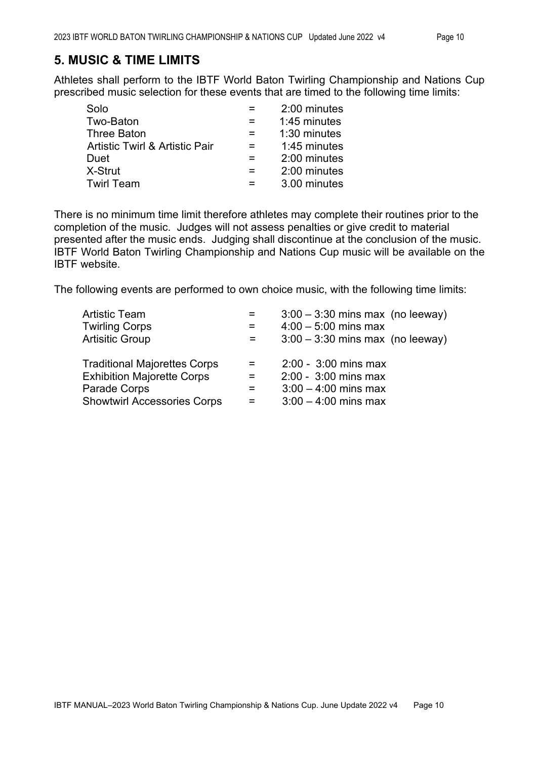#### **5. MUSIC & TIME LIMITS**

Athletes shall perform to the IBTF World Baton Twirling Championship and Nations Cup prescribed music selection for these events that are timed to the following time limits:

| Solo                                      | 2:00 minutes |
|-------------------------------------------|--------------|
| Two-Baton                                 | 1:45 minutes |
| <b>Three Baton</b>                        | 1:30 minutes |
| <b>Artistic Twirl &amp; Artistic Pair</b> | 1:45 minutes |
| Duet                                      | 2:00 minutes |
| X-Strut                                   | 2:00 minutes |
| <b>Twirl Team</b>                         | 3.00 minutes |
|                                           |              |

There is no minimum time limit therefore athletes may complete their routines prior to the completion of the music. Judges will not assess penalties or give credit to material presented after the music ends. Judging shall discontinue at the conclusion of the music. IBTF World Baton Twirling Championship and Nations Cup music will be available on the IBTF website.

The following events are performed to own choice music, with the following time limits:

| <b>Artistic Team</b>                | Ξ.  | $3:00 - 3:30$ mins max (no leeway) |
|-------------------------------------|-----|------------------------------------|
| <b>Twirling Corps</b>               | $=$ | $4:00 - 5:00$ mins max             |
| <b>Artisitic Group</b>              | $=$ | $3:00 - 3:30$ mins max (no leeway) |
| <b>Traditional Majorettes Corps</b> | $=$ | $2:00 - 3:00$ mins max             |
| <b>Exhibition Majorette Corps</b>   | $=$ | 2:00 - 3:00 mins max               |
| Parade Corps                        | $=$ | $3:00 - 4:00$ mins max             |
| <b>Showtwirl Accessories Corps</b>  | $=$ | $3:00 - 4:00$ mins max             |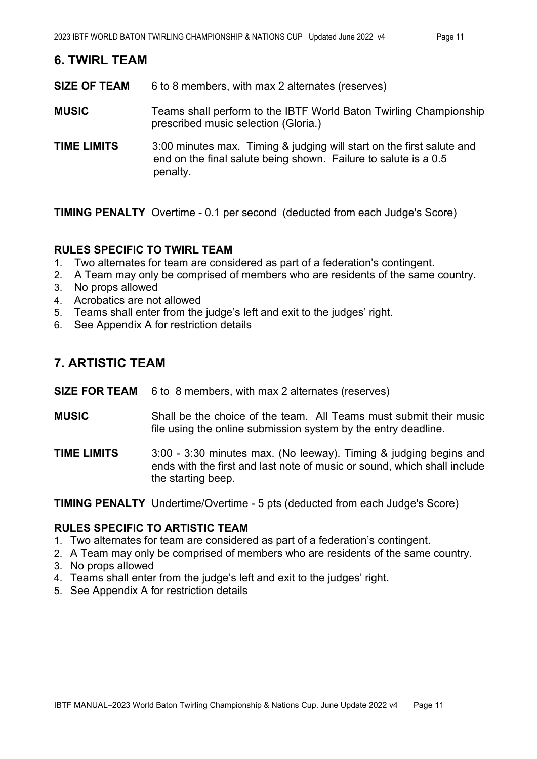#### **6. TWIRL TEAM**

**SIZE OF TEAM** 6 to 8 members, with max 2 alternates (reserves)

- **MUSIC** Teams shall perform to the IBTF World Baton Twirling Championship prescribed music selection (Gloria.)
- **TIME LIMITS** 3:00 minutes max. Timing & judging will start on the first salute and end on the final salute being shown. Failure to salute is a 0.5 penalty.

**TIMING PENALTY** Overtime - 0.1 per second (deducted from each Judge's Score)

#### **RULES SPECIFIC TO TWIRL TEAM**

- 1. Two alternates for team are considered as part of a federation's contingent.
- 2. A Team may only be comprised of members who are residents of the same country.
- 3. No props allowed
- 4. Acrobatics are not allowed
- 5. Teams shall enter from the judge's left and exit to the judges' right.
- 6. See Appendix A for restriction details

#### **7. ARTISTIC TEAM**

**SIZE FOR TEAM** 6 to 8 members, with max 2 alternates (reserves)

- **MUSIC** Shall be the choice of the team. All Teams must submit their music file using the online submission system by the entry deadline.
- **TIME LIMITS** 3:00 3:30 minutes max. (No leeway). Timing & judging begins and ends with the first and last note of music or sound, which shall include the starting beep.

**TIMING PENALTY** Undertime/Overtime - 5 pts (deducted from each Judge's Score)

#### **RULES SPECIFIC TO ARTISTIC TEAM**

- 1. Two alternates for team are considered as part of a federation's contingent.
- 2. A Team may only be comprised of members who are residents of the same country.
- 3. No props allowed
- 4. Teams shall enter from the judge's left and exit to the judges' right.
- 5. See Appendix A for restriction details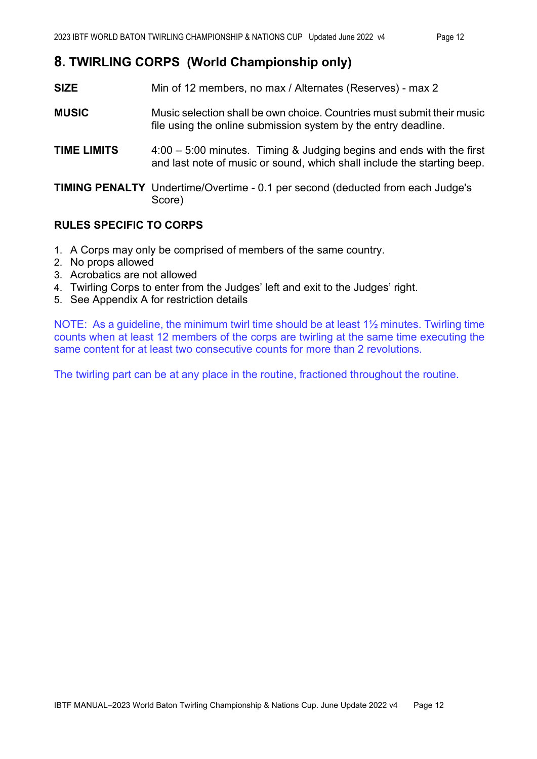## **8. TWIRLING CORPS (World Championship only)**

- **SIZE** Min of 12 members, no max / Alternates (Reserves) max 2
- **MUSIC** Music selection shall be own choice. Countries must submit their music file using the online submission system by the entry deadline.
- **TIME LIMITS** 4:00 5:00 minutes. Timing & Judging begins and ends with the first and last note of music or sound, which shall include the starting beep.

**TIMING PENALTY** Undertime/Overtime - 0.1 per second (deducted from each Judge's Score)

#### **RULES SPECIFIC TO CORPS**

- 1. A Corps may only be comprised of members of the same country.
- 2. No props allowed
- 3. Acrobatics are not allowed
- 4. Twirling Corps to enter from the Judges' left and exit to the Judges' right.
- 5. See Appendix A for restriction details

NOTE: As a guideline, the minimum twirl time should be at least 1½ minutes. Twirling time counts when at least 12 members of the corps are twirling at the same time executing the same content for at least two consecutive counts for more than 2 revolutions.

The twirling part can be at any place in the routine, fractioned throughout the routine.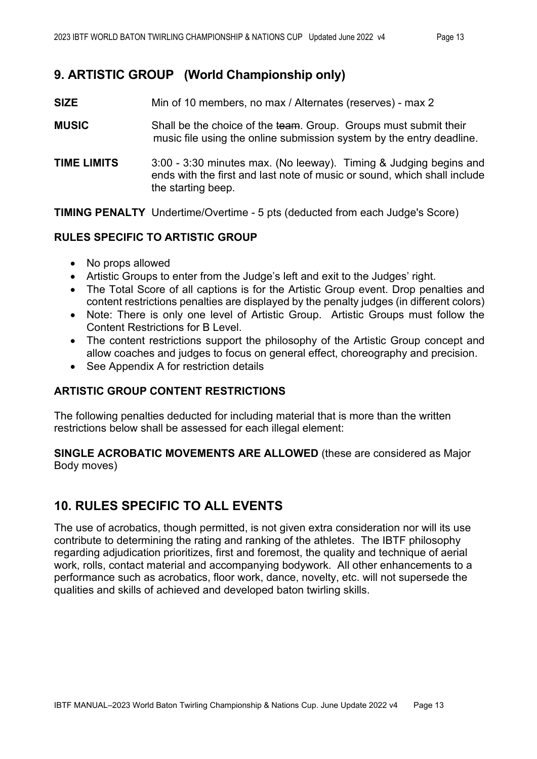# **9. ARTISTIC GROUP (World Championship only)**

- **SIZE** Min of 10 members, no max / Alternates (reserves) max 2
- **MUSIC** Shall be the choice of the team. Group. Groups must submit their music file using the online submission system by the entry deadline.
- **TIME LIMITS** 3:00 3:30 minutes max. (No leeway). Timing & Judging begins and ends with the first and last note of music or sound, which shall include the starting beep.

**TIMING PENALTY** Undertime/Overtime - 5 pts (deducted from each Judge's Score)

#### **RULES SPECIFIC TO ARTISTIC GROUP**

- No props allowed
- Artistic Groups to enter from the Judge's left and exit to the Judges' right.
- The Total Score of all captions is for the Artistic Group event. Drop penalties and content restrictions penalties are displayed by the penalty judges (in different colors)
- Note: There is only one level of Artistic Group. Artistic Groups must follow the Content Restrictions for B Level.
- The content restrictions support the philosophy of the Artistic Group concept and allow coaches and judges to focus on general effect, choreography and precision.
- See Appendix A for restriction details

#### **ARTISTIC GROUP CONTENT RESTRICTIONS**

The following penalties deducted for including material that is more than the written restrictions below shall be assessed for each illegal element:

#### **SINGLE ACROBATIC MOVEMENTS ARE ALLOWED** (these are considered as Major Body moves)

## **10. RULES SPECIFIC TO ALL EVENTS**

The use of acrobatics, though permitted, is not given extra consideration nor will its use contribute to determining the rating and ranking of the athletes. The IBTF philosophy regarding adjudication prioritizes, first and foremost, the quality and technique of aerial work, rolls, contact material and accompanying bodywork. All other enhancements to a performance such as acrobatics, floor work, dance, novelty, etc. will not supersede the qualities and skills of achieved and developed baton twirling skills.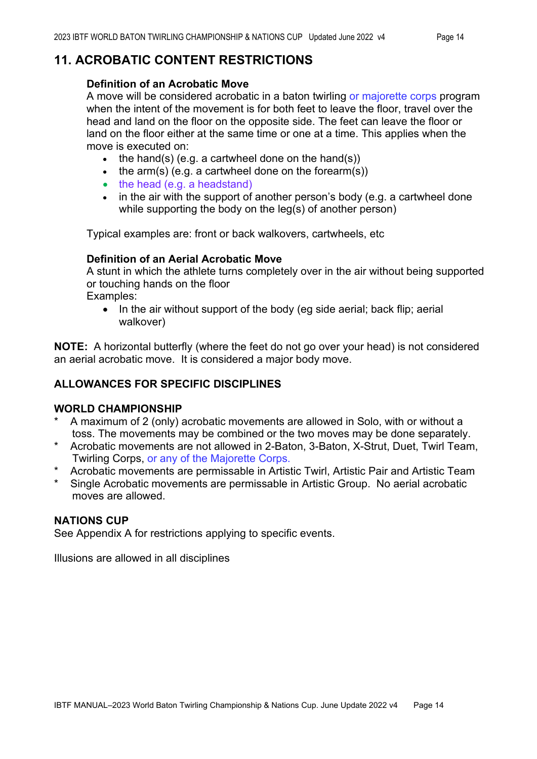#### **11. ACROBATIC CONTENT RESTRICTIONS**

#### **Definition of an Acrobatic Move**

A move will be considered acrobatic in a baton twirling or majorette corps program when the intent of the movement is for both feet to leave the floor, travel over the head and land on the floor on the opposite side. The feet can leave the floor or land on the floor either at the same time or one at a time. This applies when the move is executed on:

- the hand(s) (e.g. a cartwheel done on the hand(s))
- the arm(s) (e.g. a cartwheel done on the forearm(s))
- the head (e.g. a headstand)
- in the air with the support of another person's body (e.g. a cartwheel done while supporting the body on the leg(s) of another person)

Typical examples are: front or back walkovers, cartwheels, etc

#### **Definition of an Aerial Acrobatic Move**

A stunt in which the athlete turns completely over in the air without being supported or touching hands on the floor

Examples:

• In the air without support of the body (eg side aerial; back flip; aerial walkover)

**NOTE:** A horizontal butterfly (where the feet do not go over your head) is not considered an aerial acrobatic move. It is considered a major body move.

#### **ALLOWANCES FOR SPECIFIC DISCIPLINES**

#### **WORLD CHAMPIONSHIP**

- A maximum of 2 (only) acrobatic movements are allowed in Solo, with or without a toss. The movements may be combined or the two moves may be done separately.
- \* Acrobatic movements are not allowed in 2-Baton, 3-Baton, X-Strut, Duet, Twirl Team, Twirling Corps, or any of the Majorette Corps.
- Acrobatic movements are permissable in Artistic Twirl, Artistic Pair and Artistic Team
- Single Acrobatic movements are permissable in Artistic Group. No aerial acrobatic moves are allowed.

#### **NATIONS CUP**

See Appendix A for restrictions applying to specific events.

Illusions are allowed in all disciplines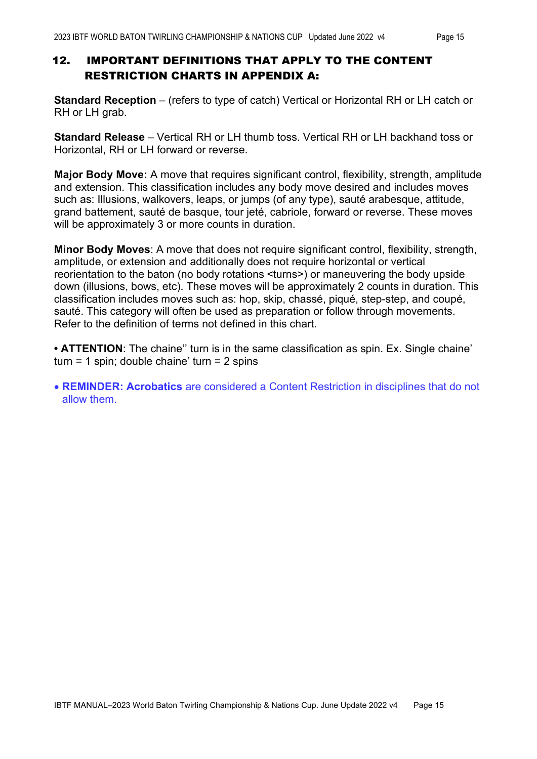#### 12. IMPORTANT DEFINITIONS THAT APPLY TO THE CONTENT RESTRICTION CHARTS IN APPENDIX A:

**Standard Reception** – (refers to type of catch) Vertical or Horizontal RH or LH catch or RH or LH grab.

**Standard Release** – Vertical RH or LH thumb toss. Vertical RH or LH backhand toss or Horizontal, RH or LH forward or reverse.

**Major Body Move:** A move that requires significant control, flexibility, strength, amplitude and extension. This classification includes any body move desired and includes moves such as: Illusions, walkovers, leaps, or jumps (of any type), sauté arabesque, attitude, grand battement, sauté de basque, tour jeté, cabriole, forward or reverse. These moves will be approximately 3 or more counts in duration.

**Minor Body Moves**: A move that does not require significant control, flexibility, strength, amplitude, or extension and additionally does not require horizontal or vertical reorientation to the baton (no body rotations <turns>) or maneuvering the body upside down (illusions, bows, etc). These moves will be approximately 2 counts in duration. This classification includes moves such as: hop, skip, chassé, piqué, step-step, and coupé, sauté. This category will often be used as preparation or follow through movements. Refer to the definition of terms not defined in this chart.

**• ATTENTION**: The chaine'' turn is in the same classification as spin. Ex. Single chaine' turn = 1 spin; double chaine' turn =  $2$  spins

• **REMINDER: Acrobatics** are considered a Content Restriction in disciplines that do not allow them.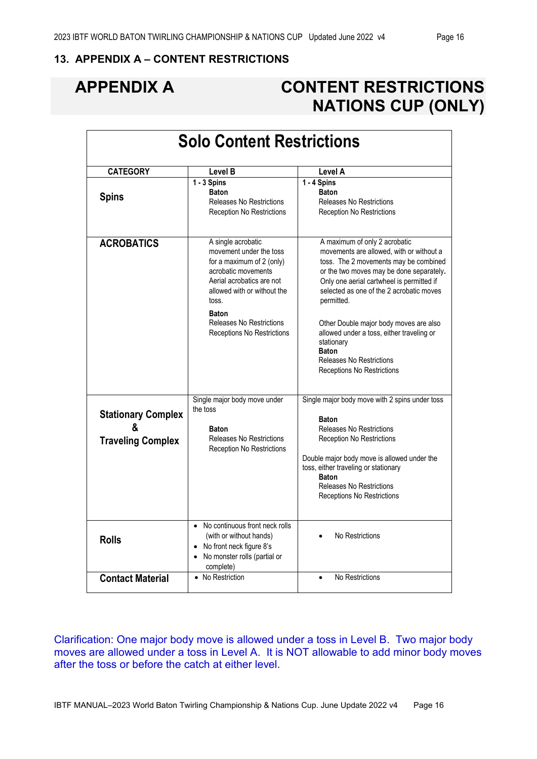#### **13. APPENDIX A – CONTENT RESTRICTIONS**

# **APPENDIX A CONTENT RESTRICTIONS NATIONS CUP (ONLY)**

|                                                            | <b>Solo Content Restrictions</b>                                                                                                                                                                                                                               |                                                                                                                                                                                                                                                                                                                                                                                                                                                                    |
|------------------------------------------------------------|----------------------------------------------------------------------------------------------------------------------------------------------------------------------------------------------------------------------------------------------------------------|--------------------------------------------------------------------------------------------------------------------------------------------------------------------------------------------------------------------------------------------------------------------------------------------------------------------------------------------------------------------------------------------------------------------------------------------------------------------|
| <b>CATEGORY</b>                                            | Level B                                                                                                                                                                                                                                                        | Level A                                                                                                                                                                                                                                                                                                                                                                                                                                                            |
| <b>Spins</b>                                               | 1 - 3 Spins<br><b>Baton</b><br><b>Releases No Restrictions</b><br><b>Reception No Restrictions</b>                                                                                                                                                             | 1 - 4 Spins<br><b>Baton</b><br><b>Releases No Restrictions</b><br><b>Reception No Restrictions</b>                                                                                                                                                                                                                                                                                                                                                                 |
| <b>ACROBATICS</b>                                          | A single acrobatic<br>movement under the toss<br>for a maximum of 2 (only)<br>acrobatic movements<br>Aerial acrobatics are not<br>allowed with or without the<br>toss.<br><b>Baton</b><br><b>Releases No Restrictions</b><br><b>Receptions No Restrictions</b> | A maximum of only 2 acrobatic<br>movements are allowed, with or without a<br>toss. The 2 movements may be combined<br>or the two moves may be done separately.<br>Only one aerial cartwheel is permitted if<br>selected as one of the 2 acrobatic moves<br>permitted.<br>Other Double major body moves are also<br>allowed under a toss, either traveling or<br>stationary<br><b>Baton</b><br><b>Releases No Restrictions</b><br><b>Receptions No Restrictions</b> |
| <b>Stationary Complex</b><br>&<br><b>Traveling Complex</b> | Single major body move under<br>the toss<br><b>Baton</b><br>Releases No Restrictions<br><b>Reception No Restrictions</b>                                                                                                                                       | Single major body move with 2 spins under toss<br><b>Baton</b><br><b>Releases No Restrictions</b><br><b>Reception No Restrictions</b><br>Double major body move is allowed under the<br>toss, either traveling or stationary<br><b>Baton</b><br><b>Releases No Restrictions</b><br>Receptions No Restrictions                                                                                                                                                      |
| <b>Rolls</b>                                               | No continuous front neck rolls<br>$\bullet$<br>(with or without hands)<br>• No front neck figure 8's<br>• No monster rolls (partial or<br>complete)                                                                                                            | No Restrictions                                                                                                                                                                                                                                                                                                                                                                                                                                                    |
| <b>Contact Material</b>                                    | • No Restriction                                                                                                                                                                                                                                               | No Restrictions                                                                                                                                                                                                                                                                                                                                                                                                                                                    |

Clarification: One major body move is allowed under a toss in Level B. Two major body moves are allowed under a toss in Level A. It is NOT allowable to add minor body moves after the toss or before the catch at either level.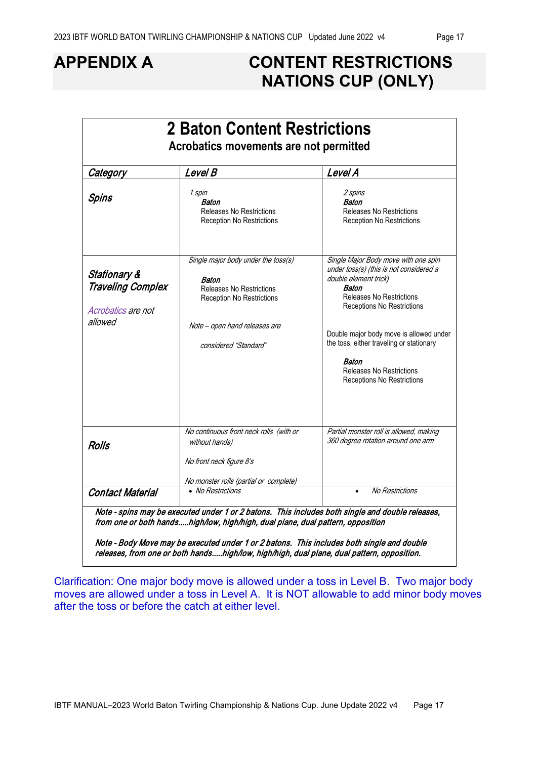# **APPENDIX A CONTENT RESTRICTIONS NATIONS CUP (ONLY)**

| Category                                                                             | Level B                                                                                                                                                                       | Level A                                                                                                                                                                                                                                                                                                                                                    |
|--------------------------------------------------------------------------------------|-------------------------------------------------------------------------------------------------------------------------------------------------------------------------------|------------------------------------------------------------------------------------------------------------------------------------------------------------------------------------------------------------------------------------------------------------------------------------------------------------------------------------------------------------|
| Spins                                                                                | 1 spin<br>Baton<br><b>Releases No Restrictions</b><br>Reception No Restrictions                                                                                               | 2 spins<br>Baton<br><b>Releases No Restrictions</b><br><b>Reception No Restrictions</b>                                                                                                                                                                                                                                                                    |
| <b>Stationary &amp;</b><br><b>Traveling Complex</b><br>Acrobatics are not<br>allowed | Single major body under the toss(s)<br>Baton<br><b>Releases No Restrictions</b><br><b>Reception No Restrictions</b><br>Note - open hand releases are<br>considered "Standard" | Single Major Body move with one spin<br>under toss(s) (this is not considered a<br>double element trick)<br>Baton<br><b>Releases No Restrictions</b><br>Receptions No Restrictions<br>Double major body move is allowed under<br>the toss, either traveling or stationary<br>Baton<br><b>Releases No Restrictions</b><br><b>Receptions No Restrictions</b> |
| <b>Rolls</b>                                                                         | No continuous front neck rolls (with or<br>without hands)<br>No front neck figure 8's<br>No monster rolls (partial or complete)                                               | Partial monster roll is allowed, making<br>360 degree rotation around one arm                                                                                                                                                                                                                                                                              |
| <b>Contact Material</b>                                                              | • No Restrictions                                                                                                                                                             | <b>No Restrictions</b>                                                                                                                                                                                                                                                                                                                                     |

y move may be executed under 1 or 2 batons. This includes both single and double releases, from one or both hands.....high/low, high/high, dual plane, dual pattern, opposition.

Clarification: One major body move is allowed under a toss in Level B. Two major body moves are allowed under a toss in Level A. It is NOT allowable to add minor body moves after the toss or before the catch at either level.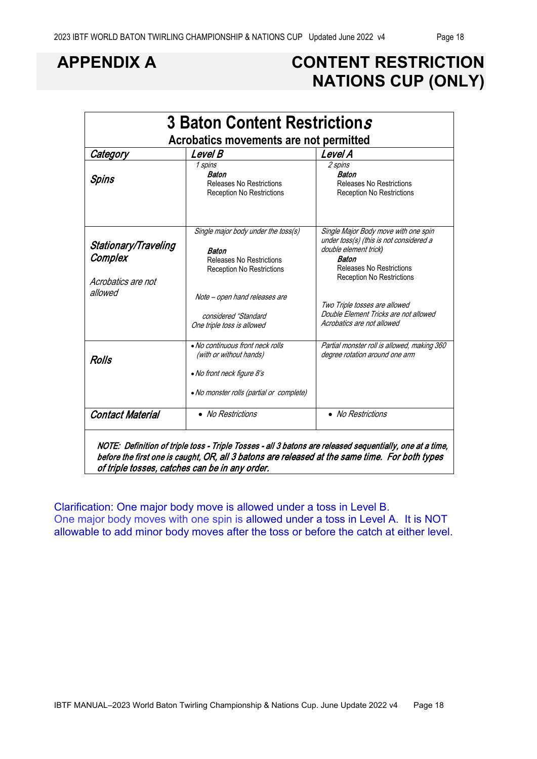# **APPENDIX A CONTENT RESTRICTION NATIONS CUP (ONLY)**

| Category                      | Acrobatics movements are not permitted<br>Level B                                | Level A                                                                                                  |  |
|-------------------------------|----------------------------------------------------------------------------------|----------------------------------------------------------------------------------------------------------|--|
| Spins                         | 1 spins<br>Baton<br><b>Releases No Restrictions</b><br>Reception No Restrictions | 2 spins<br>Baton<br><b>Releases No Restrictions</b><br><b>Reception No Restrictions</b>                  |  |
| Stationary/Traveling          | Single major body under the toss(s)<br>Baton                                     | Single Major Body move with one spin<br>under toss(s) (this is not considered a<br>double element trick) |  |
| Complex                       | Releases No Restrictions<br><b>Reception No Restrictions</b>                     | Baton<br>Releases No Restrictions                                                                        |  |
| Acrobatics are not<br>allowed | Note - open hand releases are                                                    | <b>Reception No Restrictions</b><br>Two Triple tosses are allowed                                        |  |
|                               | considered "Standard<br>One triple toss is allowed                               | Double Element Tricks are not allowed<br>Acrobatics are not allowed                                      |  |
| Rolls                         | • No continuous front neck rolls<br>(with or without hands)                      | Partial monster roll is allowed, making 360<br>degree rotation around one arm                            |  |
|                               | • No front neck figure 8's<br>• No monster rolls (partial or complete)           |                                                                                                          |  |
| <b>Contact Material</b>       | • No Restrictions                                                                | • No Restrictions                                                                                        |  |

before the first one is caught, OR, all 3 batons are released at the same time. For both types of triple tosses, catches can be in any order.

Clarification: One major body move is allowed under a toss in Level B. One major body moves with one spin is allowed under a toss in Level A. It is NOT allowable to add minor body moves after the toss or before the catch at either level.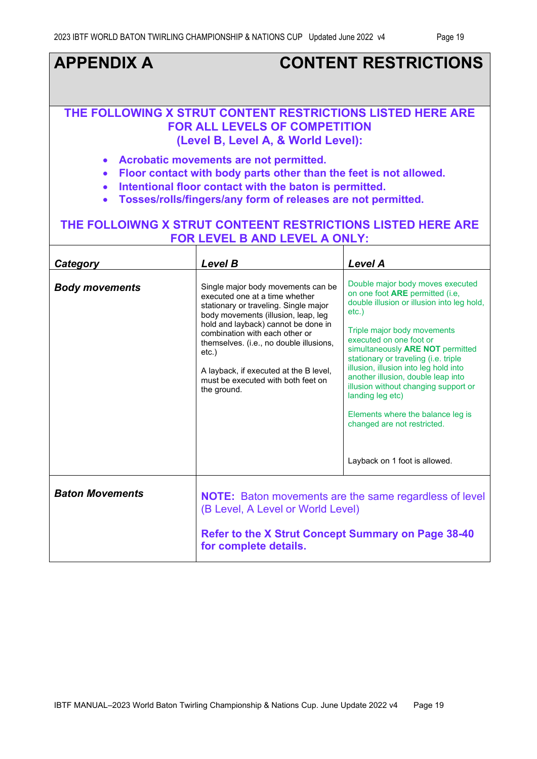#### **APPENDIX A CONTENT RESTRICTIONS THE FOLLOWING X STRUT CONTENT RESTRICTIONS LISTED HERE ARE FOR ALL LEVELS OF COMPETITION (Level B, Level A, & World Level):**  • **Acrobatic movements are not permitted.**  • **Floor contact with body parts other than the feet is not allowed.** • **Intentional floor contact with the baton is permitted.**  • **Tosses/rolls/fingers/any form of releases are not permitted. THE FOLLOIWNG X STRUT CONTEENT RESTRICTIONS LISTED HERE ARE FOR LEVEL B AND LEVEL A ONLY:** *Category Level B Level A*  **Body movements** | Single major body movements can be executed one at a time whether stationary or traveling. Single major body movements (illusion, leap, leg hold and layback) cannot be done in combination with each other or themselves. (i.e., no double illusions, etc.) A layback, if executed at the B level, must be executed with both feet on the ground. Double major body moves executed on one foot **ARE** permitted (i.e, double illusion or illusion into leg hold, etc.) Triple major body movements executed on one foot or simultaneously **ARE NOT** permitted stationary or traveling (i.e. triple illusion, illusion into leg hold into another illusion, double leap into illusion without changing support or landing leg etc) Elements where the balance leg is changed are not restricted. Layback on 1 foot is allowed. **Baton Movements NOTE:** Baton movements are the same regardless of level (B Level, A Level or World Level) **Refer to the X Strut Concept Summary on Page 38-40 for complete details.**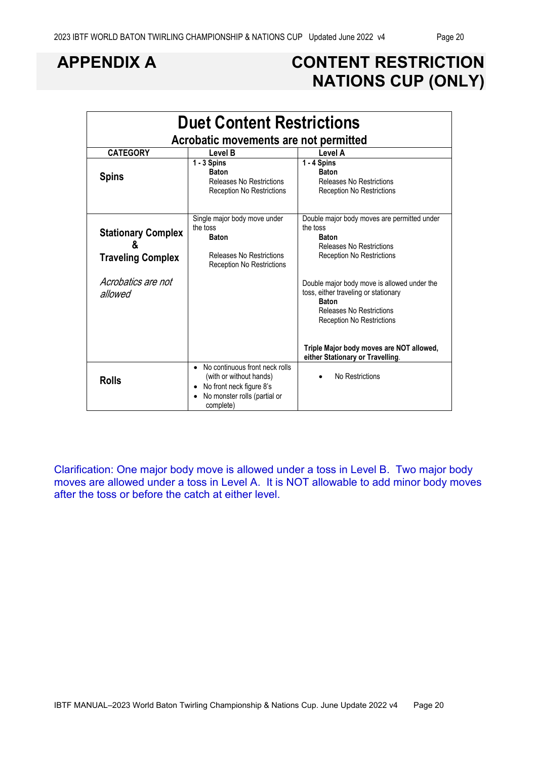# **APPENDIX A CONTENT RESTRICTION NATIONS CUP (ONLY)**

| <b>Duet Content Restrictions</b><br>Acrobatic movements are not permitted |                                                                                                                                    |                                                                                                                                                                            |  |  |  |  |  |
|---------------------------------------------------------------------------|------------------------------------------------------------------------------------------------------------------------------------|----------------------------------------------------------------------------------------------------------------------------------------------------------------------------|--|--|--|--|--|
| <b>CATEGORY</b>                                                           | Level B                                                                                                                            | Level A                                                                                                                                                                    |  |  |  |  |  |
| <b>Spins</b>                                                              | $1 - 3$ Spins<br><b>Baton</b><br>Releases No Restrictions<br><b>Reception No Restrictions</b>                                      | 1 - 4 Spins<br><b>Baton</b><br><b>Releases No Restrictions</b><br><b>Reception No Restrictions</b>                                                                         |  |  |  |  |  |
| <b>Stationary Complex</b><br>&<br><b>Traveling Complex</b>                | Single major body move under<br>the toss<br><b>Baton</b><br>Releases No Restrictions<br><b>Reception No Restrictions</b>           | Double major body moves are permitted under<br>the toss<br><b>Baton</b><br><b>Releases No Restrictions</b><br><b>Reception No Restrictions</b>                             |  |  |  |  |  |
| Acrobatics are not<br>allowed                                             |                                                                                                                                    | Double major body move is allowed under the<br>toss, either traveling or stationary<br><b>Baton</b><br><b>Releases No Restrictions</b><br><b>Reception No Restrictions</b> |  |  |  |  |  |
|                                                                           |                                                                                                                                    | Triple Major body moves are NOT allowed,<br>either Stationary or Travelling.                                                                                               |  |  |  |  |  |
| <b>Rolls</b>                                                              | No continuous front neck rolls<br>(with or without hands)<br>No front neck figure 8's<br>No monster rolls (partial or<br>complete) | No Restrictions<br>$\bullet$                                                                                                                                               |  |  |  |  |  |

Clarification: One major body move is allowed under a toss in Level B. Two major body moves are allowed under a toss in Level A. It is NOT allowable to add minor body moves after the toss or before the catch at either level.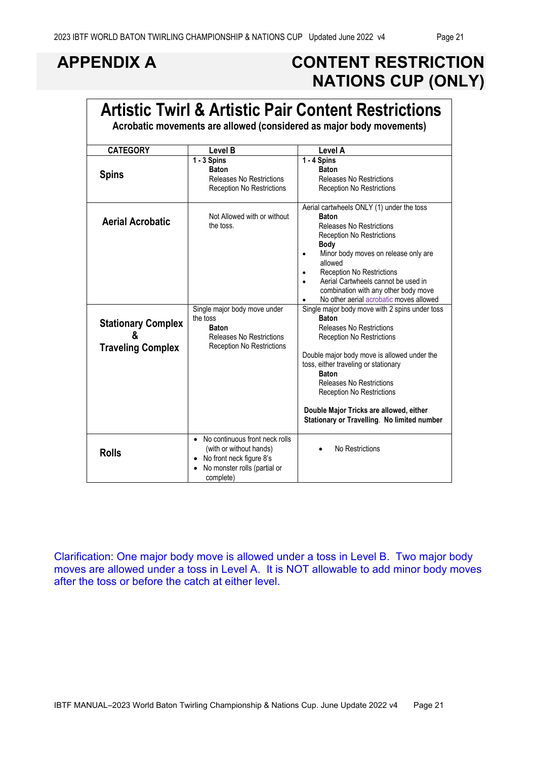$\mathbf{r}$ 

# **APPENDIX A CONTENT RESTRICTION NATIONS CUP (ONLY)**

|                                                            |                                                                                                                                                              | <b>Artistic Twirl &amp; Artistic Pair Content Restrictions</b><br>Acrobatic movements are allowed (considered as major body movements)                                                                                                                                                                                                                                                                        |
|------------------------------------------------------------|--------------------------------------------------------------------------------------------------------------------------------------------------------------|---------------------------------------------------------------------------------------------------------------------------------------------------------------------------------------------------------------------------------------------------------------------------------------------------------------------------------------------------------------------------------------------------------------|
| <b>CATEGORY</b>                                            | <b>Level B</b>                                                                                                                                               | Level A                                                                                                                                                                                                                                                                                                                                                                                                       |
| <b>Spins</b>                                               | $1 - 3$ Spins<br><b>Baton</b><br>Releases No Restrictions<br><b>Reception No Restrictions</b>                                                                | 1 - 4 Spins<br><b>Baton</b><br><b>Releases No Restrictions</b><br><b>Reception No Restrictions</b>                                                                                                                                                                                                                                                                                                            |
| <b>Aerial Acrobatic</b>                                    | Not Allowed with or without<br>the toss.                                                                                                                     | Aerial cartwheels ONLY (1) under the toss<br><b>Baton</b><br><b>Releases No Restrictions</b><br><b>Reception No Restrictions</b><br><b>Body</b><br>Minor body moves on release only are<br>allowed<br><b>Reception No Restrictions</b><br>Aerial Cartwheels cannot be used in<br>combination with any other body move<br>No other aerial acrobatic moves allowed                                              |
| <b>Stationary Complex</b><br>&<br><b>Traveling Complex</b> | Single major body move under<br>the toss<br><b>Baton</b><br><b>Releases No Restrictions</b><br><b>Reception No Restrictions</b>                              | Single major body move with 2 spins under toss<br><b>Baton</b><br><b>Releases No Restrictions</b><br><b>Reception No Restrictions</b><br>Double major body move is allowed under the<br>toss, either traveling or stationary<br><b>Baton</b><br><b>Releases No Restrictions</b><br><b>Reception No Restrictions</b><br>Double Major Tricks are allowed, either<br>Stationary or Travelling. No limited number |
| <b>Rolls</b>                                               | No continuous front neck rolls<br>$\bullet$<br>(with or without hands)<br>No front neck figure 8's<br>$\bullet$<br>No monster rolls (partial or<br>complete) | No Restrictions                                                                                                                                                                                                                                                                                                                                                                                               |

Clarification: One major body move is allowed under a toss in Level B. Two major body moves are allowed under a toss in Level A. It is NOT allowable to add minor body moves after the toss or before the catch at either level.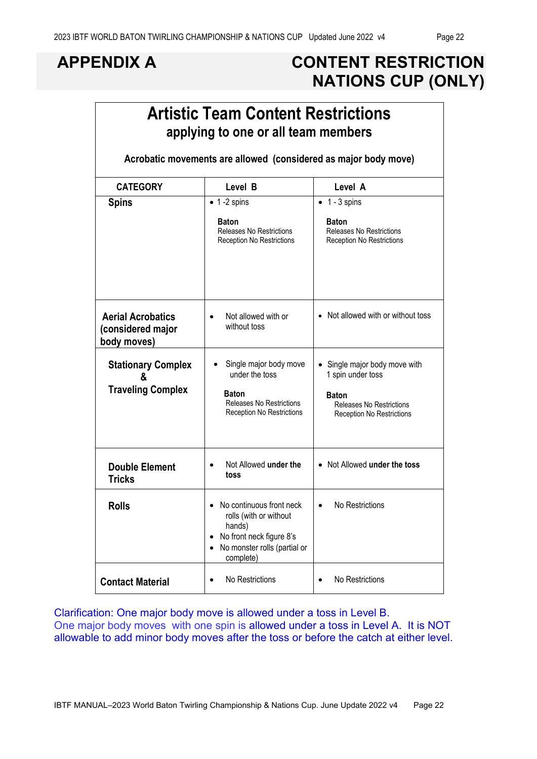# **APPENDIX A CONTENT RESTRICTION NATIONS CUP (ONLY)**

|                                                              | <b>Artistic Team Content Restrictions</b><br>applying to one or all team members                                                                                |                                                                                                                                         |
|--------------------------------------------------------------|-----------------------------------------------------------------------------------------------------------------------------------------------------------------|-----------------------------------------------------------------------------------------------------------------------------------------|
|                                                              | Acrobatic movements are allowed (considered as major body move)                                                                                                 |                                                                                                                                         |
| <b>CATEGORY</b>                                              | Level B                                                                                                                                                         | Level A                                                                                                                                 |
| <b>Spins</b>                                                 | $\bullet$ 1 -2 spins<br><b>Baton</b><br><b>Releases No Restrictions</b><br><b>Reception No Restrictions</b>                                                     | $\bullet$ 1 - 3 spins<br><b>Baton</b><br><b>Releases No Restrictions</b><br><b>Reception No Restrictions</b>                            |
| <b>Aerial Acrobatics</b><br>(considered major<br>body moves) | Not allowed with or<br>$\bullet$<br>without toss                                                                                                                | • Not allowed with or without toss                                                                                                      |
| <b>Stationary Complex</b><br>&<br><b>Traveling Complex</b>   | Single major body move<br>under the toss<br>Baton<br><b>Releases No Restrictions</b><br><b>Reception No Restrictions</b>                                        | Single major body move with<br>1 spin under toss<br><b>Baton</b><br><b>Releases No Restrictions</b><br><b>Reception No Restrictions</b> |
| <b>Double Element</b><br><b>Tricks</b>                       | Not Allowed under the<br>$\bullet$<br>toss                                                                                                                      | • Not Allowed under the toss                                                                                                            |
| <b>Rolls</b>                                                 | No continuous front neck<br>rolls (with or without<br>hands)<br>No front neck figure 8's<br>$\bullet$<br>No monster rolls (partial or<br>$\bullet$<br>complete) | No Restrictions                                                                                                                         |
| <b>Contact Material</b>                                      | No Restrictions<br>$\bullet$                                                                                                                                    | No Restrictions<br>$\bullet$                                                                                                            |

Clarification: One major body move is allowed under a toss in Level B. One major body moves with one spin is allowed under a toss in Level A. It is NOT allowable to add minor body moves after the toss or before the catch at either level.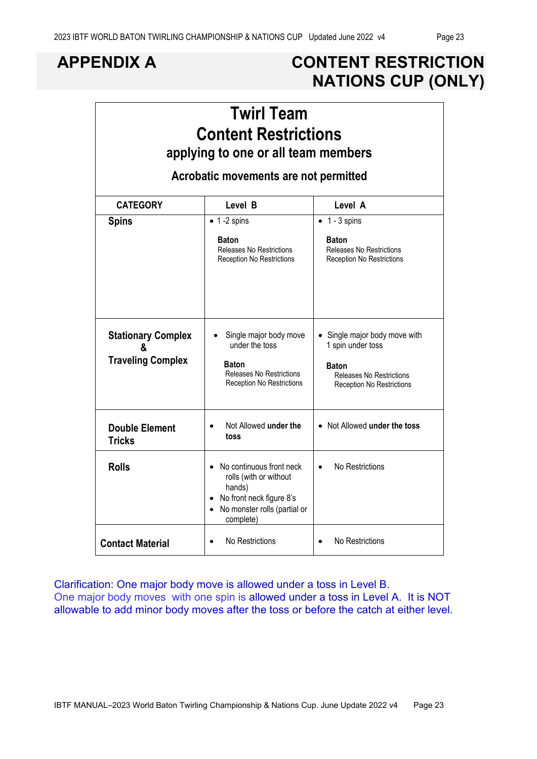# **APPENDIX A CONTENT RESTRICTION NATIONS CUP (ONLY)**

| <b>Twirl Team</b><br><b>Content Restrictions</b><br>applying to one or all team members |                                                                                                                                       |                                                                                                                                         |  |  |  |  |  |  |
|-----------------------------------------------------------------------------------------|---------------------------------------------------------------------------------------------------------------------------------------|-----------------------------------------------------------------------------------------------------------------------------------------|--|--|--|--|--|--|
|                                                                                         | Acrobatic movements are not permitted                                                                                                 |                                                                                                                                         |  |  |  |  |  |  |
| <b>CATEGORY</b>                                                                         | Level B                                                                                                                               | Level A                                                                                                                                 |  |  |  |  |  |  |
| <b>Spins</b>                                                                            | $\bullet$ 1 -2 spins                                                                                                                  | $\bullet$ 1 - 3 spins                                                                                                                   |  |  |  |  |  |  |
|                                                                                         | <b>Baton</b><br><b>Releases No Restrictions</b><br><b>Reception No Restrictions</b>                                                   | <b>Baton</b><br><b>Releases No Restrictions</b><br><b>Reception No Restrictions</b>                                                     |  |  |  |  |  |  |
| <b>Stationary Complex</b><br>&<br><b>Traveling Complex</b>                              | Single major body move<br>under the toss<br>Baton<br><b>Releases No Restrictions</b><br><b>Reception No Restrictions</b>              | Single major body move with<br>1 spin under toss<br><b>Baton</b><br><b>Releases No Restrictions</b><br><b>Reception No Restrictions</b> |  |  |  |  |  |  |
| <b>Double Element</b><br><b>Tricks</b>                                                  | Not Allowed under the<br>toss                                                                                                         | • Not Allowed under the toss                                                                                                            |  |  |  |  |  |  |
| <b>Rolls</b>                                                                            | No continuous front neck<br>rolls (with or without<br>hands)<br>No front neck figure 8's<br>No monster rolls (partial or<br>complete) | No Restrictions<br>$\bullet$                                                                                                            |  |  |  |  |  |  |
| <b>Contact Material</b>                                                                 | No Restrictions                                                                                                                       | No Restrictions<br>$\bullet$                                                                                                            |  |  |  |  |  |  |

Clarification: One major body move is allowed under a toss in Level B. One major body moves with one spin is allowed under a toss in Level A. It is NOT allowable to add minor body moves after the toss or before the catch at either level.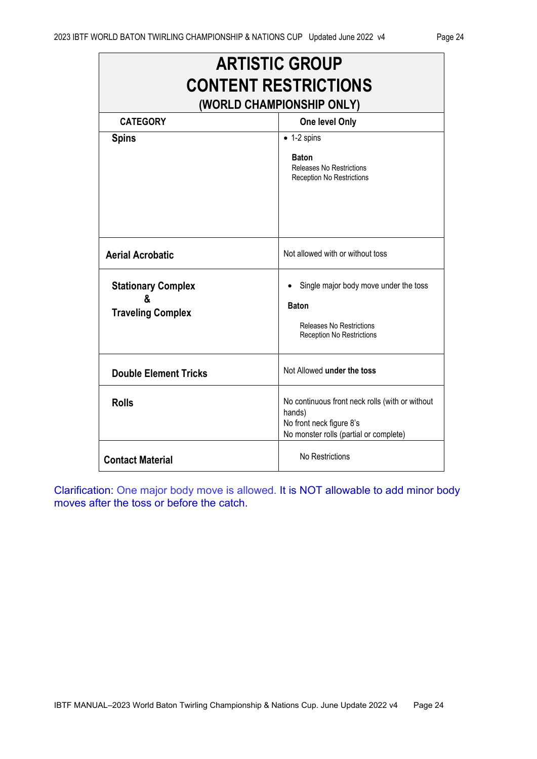|                                                            | <b>ARTISTIC GROUP</b>                                                                                                           |
|------------------------------------------------------------|---------------------------------------------------------------------------------------------------------------------------------|
|                                                            | <b>CONTENT RESTRICTIONS</b><br>(WORLD CHAMPIONSHIP ONLY)                                                                        |
| <b>CATEGORY</b>                                            | One level Only                                                                                                                  |
| <b>Spins</b>                                               | $\bullet$ 1-2 spins                                                                                                             |
|                                                            | <b>Baton</b><br>Releases No Restrictions<br>Reception No Restrictions                                                           |
| <b>Aerial Acrobatic</b>                                    | Not allowed with or without toss                                                                                                |
| <b>Stationary Complex</b><br>&<br><b>Traveling Complex</b> | Single major body move under the toss<br><b>Baton</b><br><b>Releases No Restrictions</b><br>Reception No Restrictions           |
| <b>Double Element Tricks</b>                               | Not Allowed under the toss                                                                                                      |
| <b>Rolls</b>                                               | No continuous front neck rolls (with or without<br>hands)<br>No front neck figure 8's<br>No monster rolls (partial or complete) |
| <b>Contact Material</b>                                    | No Restrictions                                                                                                                 |

Clarification: One major body move is allowed. It is NOT allowable to add minor body moves after the toss or before the catch.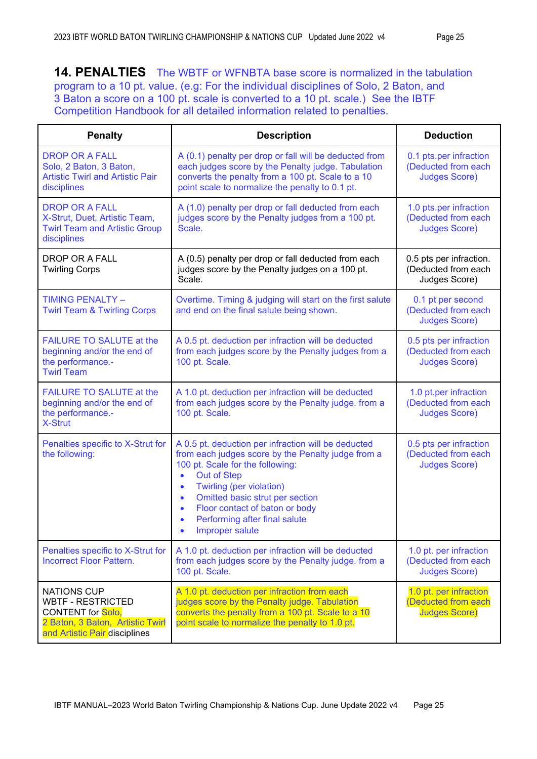**14. PENALTIES** The WBTF or WFNBTA base score is normalized in the tabulation program to a 10 pt. value. (e.g: For the individual disciplines of Solo, 2 Baton, and 3 Baton a score on a 100 pt. scale is converted to a 10 pt. scale.) See the IBTF Competition Handbook for all detailed information related to penalties.

| <b>Penalty</b>                                                                                                                                  | <b>Description</b>                                                                                                                                                                                                                                                                                                                                                   | <b>Deduction</b>                                                      |
|-------------------------------------------------------------------------------------------------------------------------------------------------|----------------------------------------------------------------------------------------------------------------------------------------------------------------------------------------------------------------------------------------------------------------------------------------------------------------------------------------------------------------------|-----------------------------------------------------------------------|
| <b>DROP OR A FALL</b><br>Solo, 2 Baton, 3 Baton,<br><b>Artistic Twirl and Artistic Pair</b><br>disciplines                                      | A (0.1) penalty per drop or fall will be deducted from<br>each judges score by the Penalty judge. Tabulation<br>converts the penalty from a 100 pt. Scale to a 10<br>point scale to normalize the penalty to 0.1 pt.                                                                                                                                                 | 0.1 pts.per infraction<br>(Deducted from each<br><b>Judges Score)</b> |
| <b>DROP OR A FALL</b><br>X-Strut, Duet, Artistic Team,<br><b>Twirl Team and Artistic Group</b><br>disciplines                                   | A (1.0) penalty per drop or fall deducted from each<br>judges score by the Penalty judges from a 100 pt.<br>Scale.                                                                                                                                                                                                                                                   | 1.0 pts.per infraction<br>(Deducted from each<br><b>Judges Score)</b> |
| <b>DROP OR A FALL</b><br><b>Twirling Corps</b>                                                                                                  | A (0.5) penalty per drop or fall deducted from each<br>judges score by the Penalty judges on a 100 pt.<br>Scale.                                                                                                                                                                                                                                                     | 0.5 pts per infraction.<br>(Deducted from each<br>Judges Score)       |
| <b>TIMING PENALTY -</b><br><b>Twirl Team &amp; Twirling Corps</b>                                                                               | Overtime. Timing & judging will start on the first salute<br>and end on the final salute being shown.                                                                                                                                                                                                                                                                | 0.1 pt per second<br>(Deducted from each<br><b>Judges Score)</b>      |
| <b>FAILURE TO SALUTE at the</b><br>beginning and/or the end of<br>the performance.-<br><b>Twirl Team</b>                                        | A 0.5 pt. deduction per infraction will be deducted<br>from each judges score by the Penalty judges from a<br>100 pt. Scale.                                                                                                                                                                                                                                         | 0.5 pts per infraction<br>(Deducted from each<br><b>Judges Score)</b> |
| <b>FAILURE TO SALUTE at the</b><br>beginning and/or the end of<br>the performance.-<br><b>X-Strut</b>                                           | A 1.0 pt. deduction per infraction will be deducted<br>from each judges score by the Penalty judge. from a<br>100 pt. Scale.                                                                                                                                                                                                                                         | 1.0 pt.per infraction<br>(Deducted from each<br><b>Judges Score)</b>  |
| Penalties specific to X-Strut for<br>the following:                                                                                             | A 0.5 pt. deduction per infraction will be deducted<br>from each judges score by the Penalty judge from a<br>100 pt. Scale for the following:<br><b>Out of Step</b><br>$\bullet$<br>Twirling (per violation)<br>٠<br>Omitted basic strut per section<br>$\bullet$<br>Floor contact of baton or body<br>$\bullet$<br>Performing after final salute<br>Improper salute | 0.5 pts per infraction<br>(Deducted from each<br><b>Judges Score)</b> |
| Penalties specific to X-Strut for<br><b>Incorrect Floor Pattern.</b>                                                                            | A 1.0 pt. deduction per infraction will be deducted<br>from each judges score by the Penalty judge. from a<br>100 pt. Scale.                                                                                                                                                                                                                                         | 1.0 pt. per infraction<br>(Deducted from each<br><b>Judges Score)</b> |
| <b>NATIONS CUP</b><br><b>WBTF - RESTRICTED</b><br><b>CONTENT</b> for Solo,<br>2 Baton, 3 Baton, Artistic Twirl<br>and Artistic Pair disciplines | A 1.0 pt. deduction per infraction from each<br>judges score by the Penalty judge. Tabulation<br>converts the penalty from a 100 pt. Scale to a 10<br>point scale to normalize the penalty to 1.0 pt.                                                                                                                                                                | 1.0 pt. per infraction<br>(Deducted from each<br><b>Judges Score)</b> |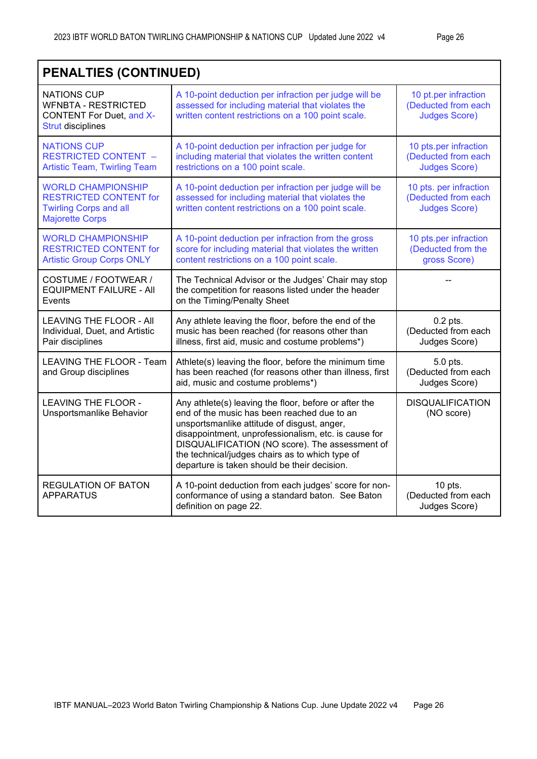|                                                                                                                       | <b>PENALTIES (CONTINUED)</b>                                                                                                                                                                                                                                                                                                                                     |                                                                       |  |  |  |  |  |  |
|-----------------------------------------------------------------------------------------------------------------------|------------------------------------------------------------------------------------------------------------------------------------------------------------------------------------------------------------------------------------------------------------------------------------------------------------------------------------------------------------------|-----------------------------------------------------------------------|--|--|--|--|--|--|
| <b>NATIONS CUP</b><br><b>WFNBTA - RESTRICTED</b><br><b>CONTENT For Duet, and X-</b><br><b>Strut disciplines</b>       | A 10-point deduction per infraction per judge will be<br>assessed for including material that violates the<br>written content restrictions on a 100 point scale.                                                                                                                                                                                                 | 10 pt.per infraction<br>(Deducted from each<br><b>Judges Score)</b>   |  |  |  |  |  |  |
| <b>NATIONS CUP</b><br><b>RESTRICTED CONTENT -</b><br><b>Artistic Team, Twirling Team</b>                              | A 10-point deduction per infraction per judge for<br>including material that violates the written content<br>restrictions on a 100 point scale.                                                                                                                                                                                                                  | 10 pts.per infraction<br>(Deducted from each<br><b>Judges Score)</b>  |  |  |  |  |  |  |
| <b>WORLD CHAMPIONSHIP</b><br><b>RESTRICTED CONTENT for</b><br><b>Twirling Corps and all</b><br><b>Majorette Corps</b> | A 10-point deduction per infraction per judge will be<br>assessed for including material that violates the<br>written content restrictions on a 100 point scale.                                                                                                                                                                                                 | 10 pts. per infraction<br>(Deducted from each<br><b>Judges Score)</b> |  |  |  |  |  |  |
| <b>WORLD CHAMPIONSHIP</b><br><b>RESTRICTED CONTENT for</b><br><b>Artistic Group Corps ONLY</b>                        | A 10-point deduction per infraction from the gross<br>score for including material that violates the written<br>content restrictions on a 100 point scale.                                                                                                                                                                                                       | 10 pts.per infraction<br>(Deducted from the<br>gross Score)           |  |  |  |  |  |  |
| COSTUME / FOOTWEAR /<br><b>EQUIPMENT FAILURE - AII</b><br>Events                                                      | The Technical Advisor or the Judges' Chair may stop<br>the competition for reasons listed under the header<br>on the Timing/Penalty Sheet                                                                                                                                                                                                                        |                                                                       |  |  |  |  |  |  |
| <b>LEAVING THE FLOOR - All</b><br>Individual, Duet, and Artistic<br>Pair disciplines                                  | Any athlete leaving the floor, before the end of the<br>music has been reached (for reasons other than<br>illness, first aid, music and costume problems*)                                                                                                                                                                                                       | $0.2$ pts.<br>(Deducted from each<br>Judges Score)                    |  |  |  |  |  |  |
| LEAVING THE FLOOR - Team<br>and Group disciplines                                                                     | Athlete(s) leaving the floor, before the minimum time<br>has been reached (for reasons other than illness, first<br>aid, music and costume problems*)                                                                                                                                                                                                            | 5.0 pts.<br>(Deducted from each<br>Judges Score)                      |  |  |  |  |  |  |
| <b>LEAVING THE FLOOR -</b><br>Unsportsmanlike Behavior                                                                | Any athlete(s) leaving the floor, before or after the<br>end of the music has been reached due to an<br>unsportsmanlike attitude of disgust, anger,<br>disappointment, unprofessionalism, etc. is cause for<br>DISQUALIFICATION (NO score). The assessment of<br>the technical/judges chairs as to which type of<br>departure is taken should be their decision. | <b>DISQUALIFICATION</b><br>(NO score)                                 |  |  |  |  |  |  |
| <b>REGULATION OF BATON</b><br><b>APPARATUS</b>                                                                        | A 10-point deduction from each judges' score for non-<br>conformance of using a standard baton. See Baton<br>definition on page 22.                                                                                                                                                                                                                              | $10$ pts.<br>(Deducted from each<br>Judges Score)                     |  |  |  |  |  |  |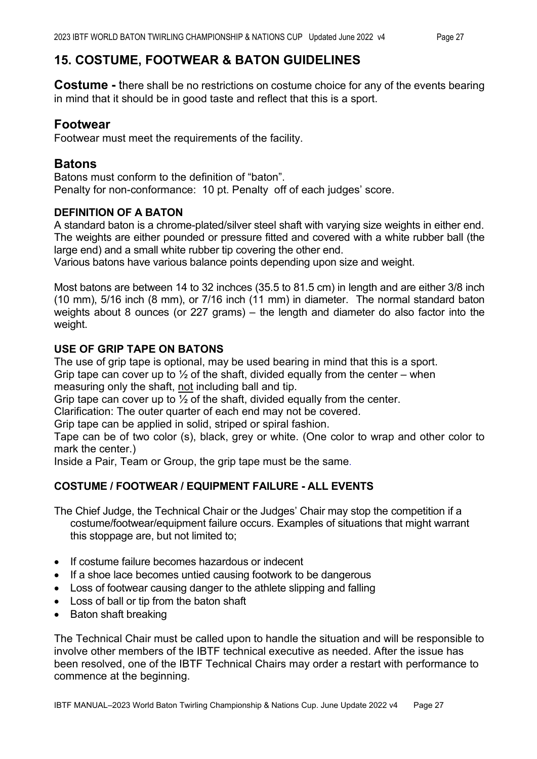### **15. COSTUME, FOOTWEAR & BATON GUIDELINES**

**Costume -** there shall be no restrictions on costume choice for any of the events bearing in mind that it should be in good taste and reflect that this is a sport.

#### **Footwear**

Footwear must meet the requirements of the facility.

#### **Batons**

Batons must conform to the definition of "baton". Penalty for non-conformance: 10 pt. Penalty off of each judges' score.

#### **DEFINITION OF A BATON**

A standard baton is a chrome-plated/silver steel shaft with varying size weights in either end. The weights are either pounded or pressure fitted and covered with a white rubber ball (the large end) and a small white rubber tip covering the other end.

Various batons have various balance points depending upon size and weight.

Most batons are between 14 to 32 inchces (35.5 to 81.5 cm) in length and are either 3/8 inch (10 mm), 5/16 inch (8 mm), or 7/16 inch (11 mm) in diameter. The normal standard baton weights about 8 ounces (or 227 grams) – the length and diameter do also factor into the weight.

#### **USE OF GRIP TAPE ON BATONS**

The use of grip tape is optional, may be used bearing in mind that this is a sport. Grip tape can cover up to  $\frac{1}{2}$  of the shaft, divided equally from the center – when

measuring only the shaft, not including ball and tip.

Grip tape can cover up to  $\frac{1}{2}$  of the shaft, divided equally from the center.

Clarification: The outer quarter of each end may not be covered.

Grip tape can be applied in solid, striped or spiral fashion.

Tape can be of two color (s), black, grey or white. (One color to wrap and other color to mark the center.)

Inside a Pair, Team or Group, the grip tape must be the same.

#### **COSTUME / FOOTWEAR / EQUIPMENT FAILURE - ALL EVENTS**

The Chief Judge, the Technical Chair or the Judges' Chair may stop the competition if a costume/footwear/equipment failure occurs. Examples of situations that might warrant this stoppage are, but not limited to;

- If costume failure becomes hazardous or indecent
- If a shoe lace becomes untied causing footwork to be dangerous
- Loss of footwear causing danger to the athlete slipping and falling
- Loss of ball or tip from the baton shaft
- Baton shaft breaking

The Technical Chair must be called upon to handle the situation and will be responsible to involve other members of the IBTF technical executive as needed. After the issue has been resolved, one of the IBTF Technical Chairs may order a restart with performance to commence at the beginning.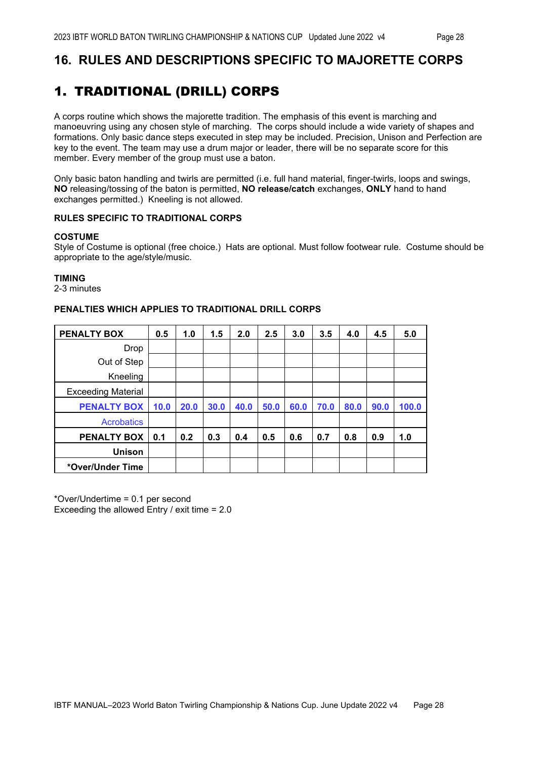## **16. RULES AND DESCRIPTIONS SPECIFIC TO MAJORETTE CORPS**

# 1. TRADITIONAL (DRILL) CORPS

A corps routine which shows the majorette tradition. The emphasis of this event is marching and manoeuvring using any chosen style of marching. The corps should include a wide variety of shapes and formations. Only basic dance steps executed in step may be included. Precision, Unison and Perfection are key to the event. The team may use a drum major or leader, there will be no separate score for this member. Every member of the group must use a baton.

Only basic baton handling and twirls are permitted (i.e. full hand material, finger-twirls, loops and swings, **NO** releasing/tossing of the baton is permitted, **NO release/catch** exchanges, **ONLY** hand to hand exchanges permitted.) Kneeling is not allowed.

#### **RULES SPECIFIC TO TRADITIONAL CORPS**

#### **COSTUME**

Style of Costume is optional (free choice.) Hats are optional. Must follow footwear rule. Costume should be appropriate to the age/style/music.

#### **TIMING**

2-3 minutes

#### **PENALTIES WHICH APPLIES TO TRADITIONAL DRILL CORPS**

| <b>PENALTY BOX</b>        | 0.5  | 1.0  | 1.5  | 2.0  | 2.5  | 3.0  | 3.5  | 4.0  | 4.5  | 5.0   |
|---------------------------|------|------|------|------|------|------|------|------|------|-------|
| Drop                      |      |      |      |      |      |      |      |      |      |       |
| Out of Step               |      |      |      |      |      |      |      |      |      |       |
| Kneeling                  |      |      |      |      |      |      |      |      |      |       |
| <b>Exceeding Material</b> |      |      |      |      |      |      |      |      |      |       |
| <b>PENALTY BOX</b>        | 10.0 | 20.0 | 30.0 | 40.0 | 50.0 | 60.0 | 70.0 | 80.0 | 90.0 | 100.0 |
| <b>Acrobatics</b>         |      |      |      |      |      |      |      |      |      |       |
| <b>PENALTY BOX</b>        | 0.1  | 0.2  | 0.3  | 0.4  | 0.5  | 0.6  | 0.7  | 0.8  | 0.9  | 1.0   |
| <b>Unison</b>             |      |      |      |      |      |      |      |      |      |       |
| *Over/Under Time          |      |      |      |      |      |      |      |      |      |       |

\*Over/Undertime = 0.1 per second Exceeding the allowed Entry / exit time = 2.0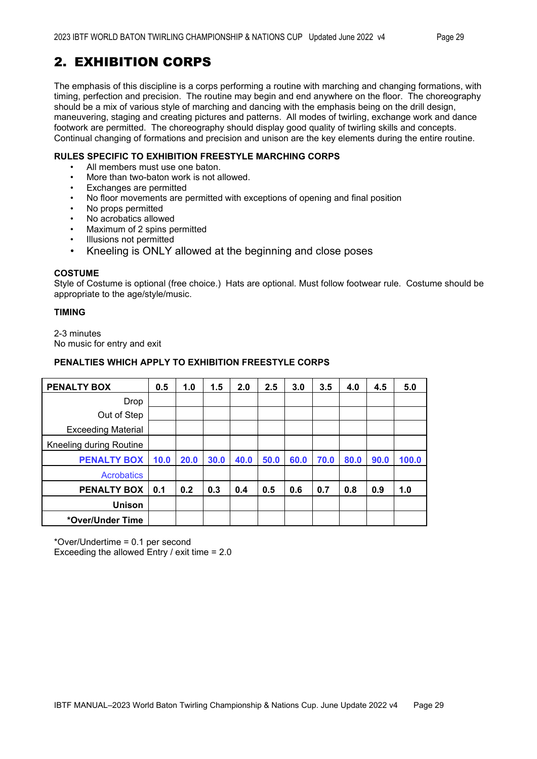# 2. EXHIBITION CORPS

The emphasis of this discipline is a corps performing a routine with marching and changing formations, with timing, perfection and precision. The routine may begin and end anywhere on the floor. The choreography should be a mix of various style of marching and dancing with the emphasis being on the drill design, maneuvering, staging and creating pictures and patterns. All modes of twirling, exchange work and dance footwork are permitted. The choreography should display good quality of twirling skills and concepts. Continual changing of formations and precision and unison are the key elements during the entire routine.

#### **RULES SPECIFIC TO EXHIBITION FREESTYLE MARCHING CORPS**

- All members must use one baton.
- More than two-baton work is not allowed.<br>• Exchanges are permitted
- Exchanges are permitted
- No floor movements are permitted with exceptions of opening and final position
- No props permitted
- No acrobatics allowed
- Maximum of 2 spins permitted
- Illusions not permitted
- Kneeling is ONLY allowed at the beginning and close poses

#### **COSTUME**

Style of Costume is optional (free choice.) Hats are optional. Must follow footwear rule. Costume should be appropriate to the age/style/music.

#### **TIMING**

2-3 minutes No music for entry and exit

#### **PENALTIES WHICH APPLY TO EXHIBITION FREESTYLE CORPS**

| <b>PENALTY BOX</b>        | 0.5  | 1.0  | 1.5  | 2.0  | 2.5  | 3.0  | 3.5  | 4.0  | 4.5  | 5.0   |
|---------------------------|------|------|------|------|------|------|------|------|------|-------|
| Drop                      |      |      |      |      |      |      |      |      |      |       |
| Out of Step               |      |      |      |      |      |      |      |      |      |       |
| <b>Exceeding Material</b> |      |      |      |      |      |      |      |      |      |       |
| Kneeling during Routine   |      |      |      |      |      |      |      |      |      |       |
| <b>PENALTY BOX</b>        | 10.0 | 20.0 | 30.0 | 40.0 | 50.0 | 60.0 | 70.0 | 80.0 | 90.0 | 100.0 |
| <b>Acrobatics</b>         |      |      |      |      |      |      |      |      |      |       |
| <b>PENALTY BOX</b>        | 0.1  | 0.2  | 0.3  | 0.4  | 0.5  | 0.6  | 0.7  | 0.8  | 0.9  | 1.0   |
| <b>Unison</b>             |      |      |      |      |      |      |      |      |      |       |
| *Over/Under Time          |      |      |      |      |      |      |      |      |      |       |

\*Over/Undertime = 0.1 per second

Exceeding the allowed Entry / exit time = 2.0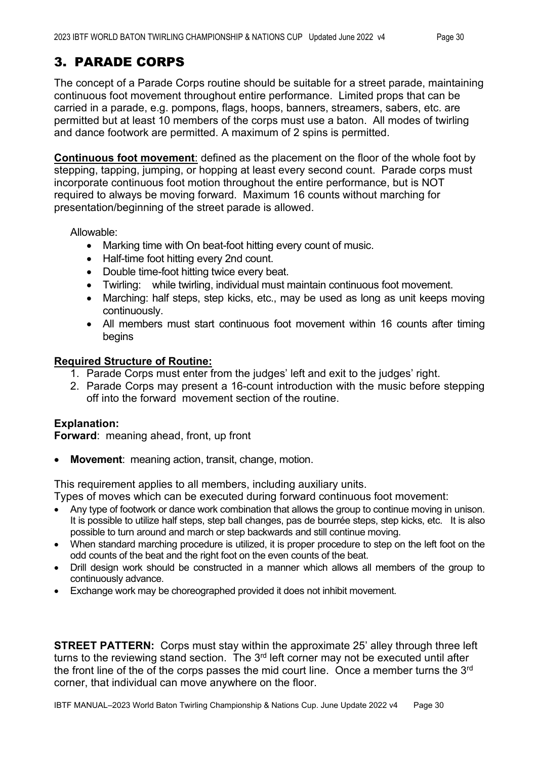The concept of a Parade Corps routine should be suitable for a street parade, maintaining continuous foot movement throughout entire performance. Limited props that can be carried in a parade, e.g. pompons, flags, hoops, banners, streamers, sabers, etc. are permitted but at least 10 members of the corps must use a baton. All modes of twirling and dance footwork are permitted. A maximum of 2 spins is permitted.

**Continuous foot movement**: defined as the placement on the floor of the whole foot by stepping, tapping, jumping, or hopping at least every second count. Parade corps must incorporate continuous foot motion throughout the entire performance, but is NOT required to always be moving forward. Maximum 16 counts without marching for presentation/beginning of the street parade is allowed.

Allowable:

- Marking time with On beat-foot hitting every count of music.
- Half-time foot hitting every 2nd count.
- Double time-foot hitting twice every beat.
- Twirling: while twirling, individual must maintain continuous foot movement.
- Marching: half steps, step kicks, etc., may be used as long as unit keeps moving continuously.
- All members must start continuous foot movement within 16 counts after timing begins

#### **Required Structure of Routine:**

- 1. Parade Corps must enter from the judges' left and exit to the judges' right.
- 2. Parade Corps may present a 16-count introduction with the music before stepping off into the forward movement section of the routine.

#### **Explanation:**

**Forward**: meaning ahead, front, up front

**Movement:** meaning action, transit, change, motion.

This requirement applies to all members, including auxiliary units.

Types of moves which can be executed during forward continuous foot movement:

- Any type of footwork or dance work combination that allows the group to continue moving in unison. It is possible to utilize half steps, step ball changes, pas de bourrée steps, step kicks, etc. It is also possible to turn around and march or step backwards and still continue moving.
- When standard marching procedure is utilized, it is proper procedure to step on the left foot on the odd counts of the beat and the right foot on the even counts of the beat.
- Drill design work should be constructed in a manner which allows all members of the group to continuously advance.
- Exchange work may be choreographed provided it does not inhibit movement.

**STREET PATTERN:** Corps must stay within the approximate 25' alley through three left turns to the reviewing stand section. The  $3<sup>rd</sup>$  left corner may not be executed until after the front line of the of the corps passes the mid court line. Once a member turns the 3<sup>rd</sup> corner, that individual can move anywhere on the floor.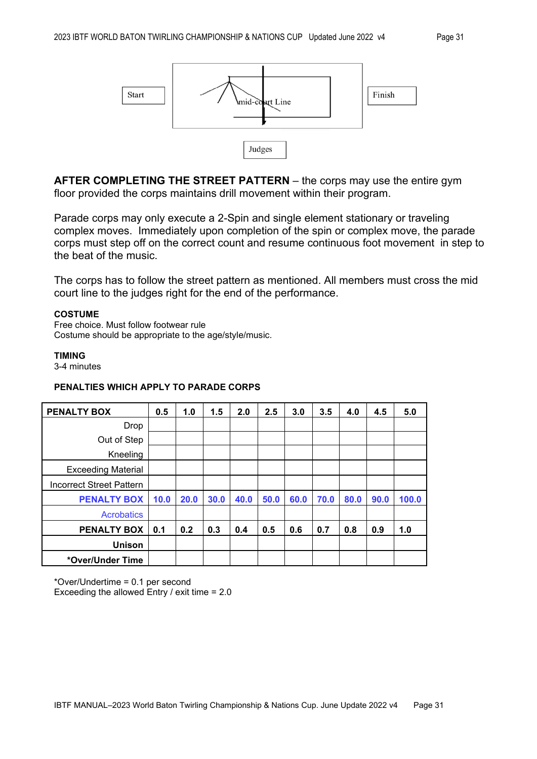

**AFTER COMPLETING THE STREET PATTERN** – the corps may use the entire gym floor provided the corps maintains drill movement within their program.

Parade corps may only execute a 2-Spin and single element stationary or traveling complex moves. Immediately upon completion of the spin or complex move, the parade corps must step off on the correct count and resume continuous foot movement in step to the beat of the music.

The corps has to follow the street pattern as mentioned. All members must cross the mid court line to the judges right for the end of the performance.

#### **COSTUME**

Free choice. Must follow footwear rule Costume should be appropriate to the age/style/music.

#### **TIMING**

3-4 minutes

#### **PENALTIES WHICH APPLY TO PARADE CORPS**

| <b>PENALTY BOX</b>              | 0.5  | 1.0  | 1.5  | 2.0  | 2.5  | 3.0  | 3.5  | 4.0  | 4.5  | 5.0   |
|---------------------------------|------|------|------|------|------|------|------|------|------|-------|
| Drop                            |      |      |      |      |      |      |      |      |      |       |
| Out of Step                     |      |      |      |      |      |      |      |      |      |       |
| Kneeling                        |      |      |      |      |      |      |      |      |      |       |
| <b>Exceeding Material</b>       |      |      |      |      |      |      |      |      |      |       |
| <b>Incorrect Street Pattern</b> |      |      |      |      |      |      |      |      |      |       |
| <b>PENALTY BOX</b>              | 10.0 | 20.0 | 30.0 | 40.0 | 50.0 | 60.0 | 70.0 | 80.0 | 90.0 | 100.0 |
| <b>Acrobatics</b>               |      |      |      |      |      |      |      |      |      |       |
| <b>PENALTY BOX</b>              | 0.1  | 0.2  | 0.3  | 0.4  | 0.5  | 0.6  | 0.7  | 0.8  | 0.9  | 1.0   |
| <b>Unison</b>                   |      |      |      |      |      |      |      |      |      |       |
| *Over/Under Time                |      |      |      |      |      |      |      |      |      |       |

\*Over/Undertime = 0.1 per second Exceeding the allowed Entry / exit time = 2.0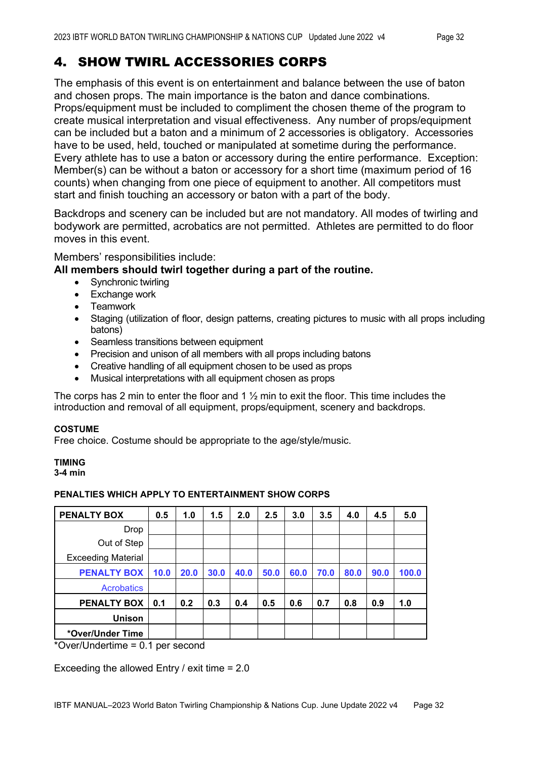# 4. SHOW TWIRL ACCESSORIES CORPS

The emphasis of this event is on entertainment and balance between the use of baton and chosen props. The main importance is the baton and dance combinations. Props/equipment must be included to compliment the chosen theme of the program to create musical interpretation and visual effectiveness. Any number of props/equipment can be included but a baton and a minimum of 2 accessories is obligatory. Accessories have to be used, held, touched or manipulated at sometime during the performance. Every athlete has to use a baton or accessory during the entire performance. Exception: Member(s) can be without a baton or accessory for a short time (maximum period of 16 counts) when changing from one piece of equipment to another. All competitors must start and finish touching an accessory or baton with a part of the body.

Backdrops and scenery can be included but are not mandatory. All modes of twirling and bodywork are permitted, acrobatics are not permitted. Athletes are permitted to do floor moves in this event.

Members' responsibilities include:

#### **All members should twirl together during a part of the routine.**

- Synchronic twirling
- Exchange work
- **Teamwork**
- Staging (utilization of floor, design patterns, creating pictures to music with all props including batons)
- Seamless transitions between equipment
- Precision and unison of all members with all props including batons
- Creative handling of all equipment chosen to be used as props
- Musical interpretations with all equipment chosen as props

The corps has 2 min to enter the floor and 1  $\frac{1}{2}$  min to exit the floor. This time includes the introduction and removal of all equipment, props/equipment, scenery and backdrops.

#### **COSTUME**

Free choice. Costume should be appropriate to the age/style/music.

#### **TIMING**

**3-4 min** 

#### **PENALTIES WHICH APPLY TO ENTERTAINMENT SHOW CORPS**

| <b>PENALTY BOX</b>        | 0.5  | 1.0  | 1.5  | 2.0  | 2.5  | 3.0  | 3.5  | 4.0  | 4.5  | 5.0   |
|---------------------------|------|------|------|------|------|------|------|------|------|-------|
| <b>Drop</b>               |      |      |      |      |      |      |      |      |      |       |
| Out of Step               |      |      |      |      |      |      |      |      |      |       |
| <b>Exceeding Material</b> |      |      |      |      |      |      |      |      |      |       |
| <b>PENALTY BOX</b>        | 10.0 | 20.0 | 30.0 | 40.0 | 50.0 | 60.0 | 70.0 | 80.0 | 90.0 | 100.0 |
| <b>Acrobatics</b>         |      |      |      |      |      |      |      |      |      |       |
| <b>PENALTY BOX</b>        | 0.1  | 0.2  | 0.3  | 0.4  | 0.5  | 0.6  | 0.7  | 0.8  | 0.9  | 1.0   |
| <b>Unison</b>             |      |      |      |      |      |      |      |      |      |       |
| *Over/Under Time          |      |      |      |      |      |      |      |      |      |       |

\*Over/Undertime = 0.1 per second

Exceeding the allowed Entry / exit time = 2.0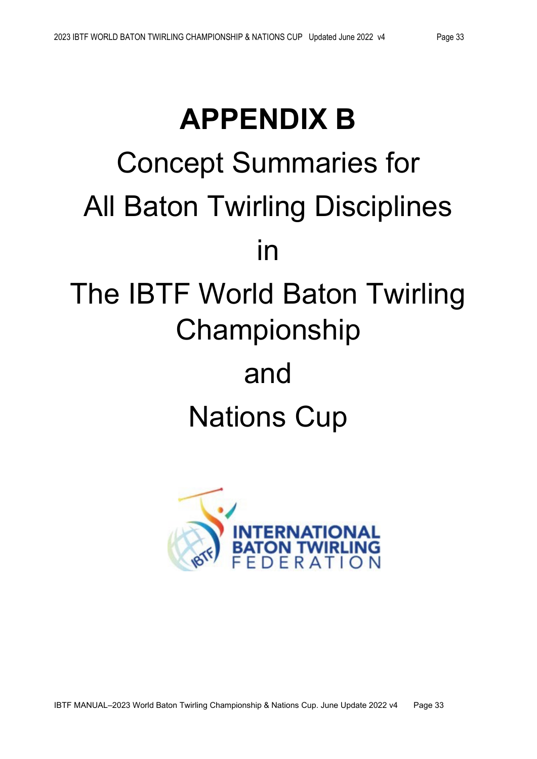# **APPENDIX B** Concept Summaries for All Baton Twirling Disciplines in The IBTF World Baton Twirling Championship and

# Nations Cup

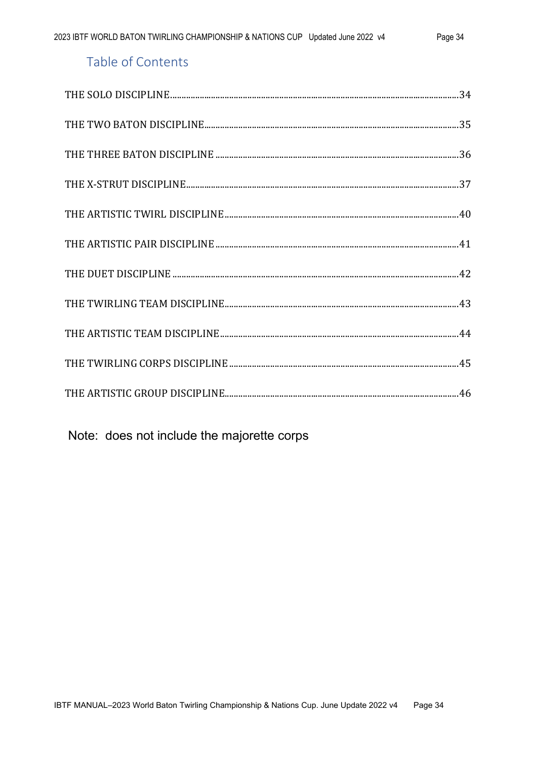# Table of Contents

Note: does not include the majorette corps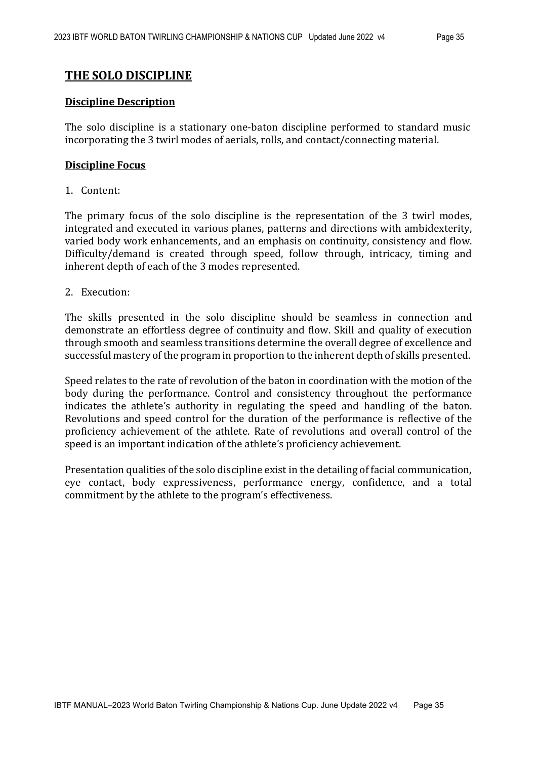#### **THE SOLO DISCIPLINE**

#### **Discipline Description**

The solo discipline is a stationary one-baton discipline performed to standard music incorporating the 3 twirl modes of aerials, rolls, and contact/connecting material.

#### **Discipline Focus**

1. Content:

The primary focus of the solo discipline is the representation of the 3 twirl modes, integrated and executed in various planes, patterns and directions with ambidexterity, varied body work enhancements, and an emphasis on continuity, consistency and flow. Difficulty/demand is created through speed, follow through, intricacy, timing and inherent depth of each of the 3 modes represented.

2. Execution:

The skills presented in the solo discipline should be seamless in connection and demonstrate an effortless degree of continuity and flow. Skill and quality of execution through smooth and seamless transitions determine the overall degree of excellence and successful mastery ofthe program in proportion to the inherent depth of skills presented.

Speed relates to the rate of revolution of the baton in coordination with the motion of the body during the performance. Control and consistency throughout the performance indicates the athlete's authority in regulating the speed and handling of the baton. Revolutions and speed control for the duration of the performance is reflective of the proficiency achievement of the athlete. Rate of revolutions and overall control of the speed is an important indication of the athlete's proficiency achievement.

Presentation qualities of the solo discipline exist in the detailing of facial communication, eye contact, body expressiveness, performance energy, confidence, and a total commitment by the athlete to the program's effectiveness.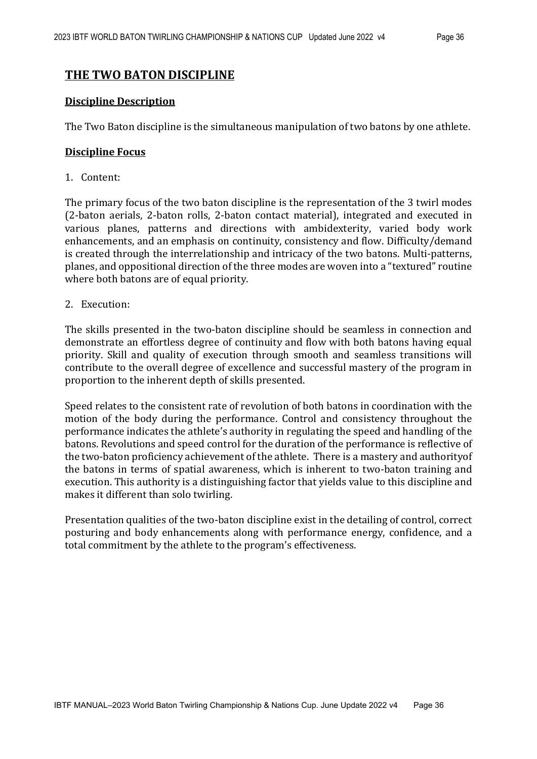#### **THE TWO BATON DISCIPLINE**

#### **Discipline Description**

The Two Baton discipline is the simultaneous manipulation of two batons by one athlete.

#### **Discipline Focus**

1. Content:

The primary focus of the two baton discipline is the representation of the 3 twirl modes (2-baton aerials, 2-baton rolls, 2-baton contact material), integrated and executed in various planes, patterns and directions with ambidexterity, varied body work enhancements, and an emphasis on continuity, consistency and flow. Difficulty/demand is created through the interrelationship and intricacy of the two batons. Multi-patterns, planes, and oppositional direction of the three modes are woven into a "textured" routine where both batons are of equal priority.

2. Execution:

The skills presented in the two-baton discipline should be seamless in connection and demonstrate an effortless degree of continuity and flow with both batons having equal priority. Skill and quality of execution through smooth and seamless transitions will contribute to the overall degree of excellence and successful mastery of the program in proportion to the inherent depth of skills presented.

Speed relates to the consistent rate of revolution of both batons in coordination with the motion of the body during the performance. Control and consistency throughout the performance indicates the athlete's authority in regulating the speed and handling of the batons. Revolutions and speed control for the duration of the performance is reflective of the two-baton proficiency achievement of the athlete. There is a mastery and authorityof the batons in terms of spatial awareness, which is inherent to two-baton training and execution. This authority is a distinguishing factor that yields value to this discipline and makes it different than solo twirling.

Presentation qualities of the two-baton discipline exist in the detailing of control, correct posturing and body enhancements along with performance energy, confidence, and a total commitment by the athlete to the program's effectiveness.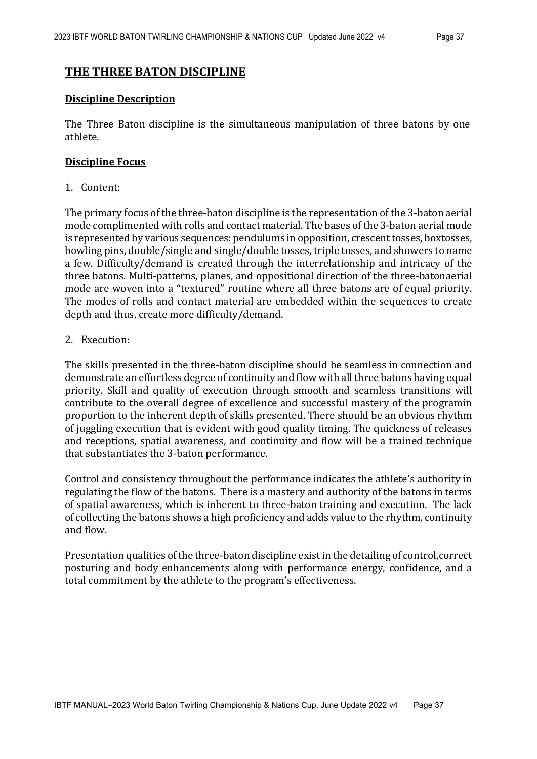#### **THE THREE BATON DISCIPLINE**

#### **Discipline Description**

The Three Baton discipline is the simultaneous manipulation of three batons by one athlete.

#### **Discipline Focus**

#### 1. Content:

The primary focus of the three-baton discipline is the representation of the 3-baton aerial mode complimented with rolls and contact material. The bases of the 3-baton aerial mode is represented by various sequences: pendulums in opposition, crescent tosses, boxtosses, bowling pins, double/single and single/double tosses, triple tosses, and showers to name a few. Difficulty/demand is created through the interrelationship and intricacy of the three batons. Multi-patterns, planes, and oppositional direction of the three-batonaerial mode are woven into a "textured" routine where all three batons are of equal priority. The modes of rolls and contact material are embedded within the sequences to create depth and thus, create more difficulty/demand.

#### 2. Execution:

The skills presented in the three-baton discipline should be seamless in connection and demonstrate an effortless degree of continuity and flow with all three batons having equal priority. Skill and quality of execution through smooth and seamless transitions will contribute to the overall degree of excellence and successful mastery of the programin proportion to the inherent depth of skills presented. There should be an obvious rhythm of juggling execution that is evident with good quality timing. The quickness of releases and receptions, spatial awareness, and continuity and flow will be a trained technique that substantiates the 3-baton performance.

Control and consistency throughout the performance indicates the athlete's authority in regulating the flow of the batons. There is a mastery and authority of the batons in terms of spatial awareness, which is inherent to three-baton training and execution. The lack of collecting the batons shows a high proficiency and adds value to the rhythm, continuity and flow.

Presentation qualities of the three-baton discipline exist in the detailing of control, correct posturing and body enhancements along with performance energy, confidence, and a total commitment by the athlete to the program's effectiveness.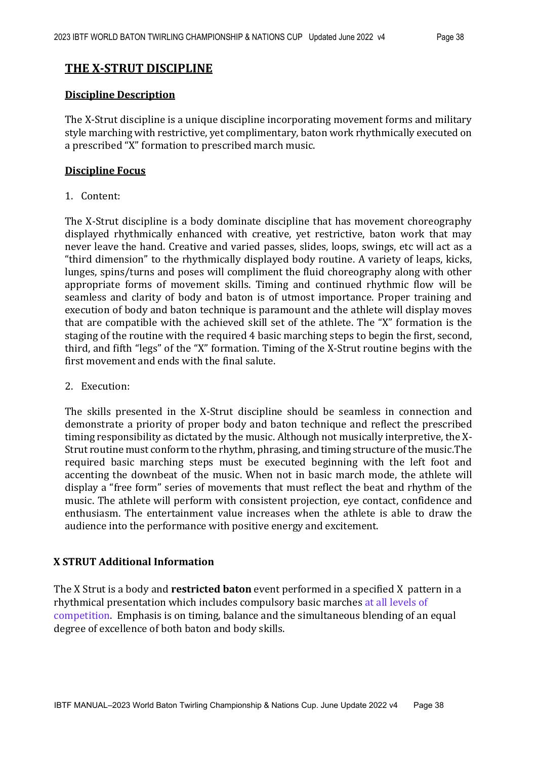#### **THE X-STRUT DISCIPLINE**

#### **Discipline Description**

The X-Strut discipline is a unique discipline incorporating movement forms and military style marching with restrictive, yet complimentary, baton work rhythmically executed on a prescribed "X" formation to prescribed march music.

#### **Discipline Focus**

1. Content:

The X-Strut discipline is a body dominate discipline that has movement choreography displayed rhythmically enhanced with creative, yet restrictive, baton work that may never leave the hand. Creative and varied passes, slides, loops, swings, etc will act as a "third dimension" to the rhythmically displayed body routine. A variety of leaps, kicks, lunges, spins/turns and poses will compliment the fluid choreography along with other appropriate forms of movement skills. Timing and continued rhythmic flow will be seamless and clarity of body and baton is of utmost importance. Proper training and execution of body and baton technique is paramount and the athlete will display moves that are compatible with the achieved skill set of the athlete. The "X" formation is the staging of the routine with the required 4 basic marching steps to begin the first, second, third, and fifth "legs" of the "X" formation. Timing of the X-Strut routine begins with the first movement and ends with the final salute.

2. Execution:

The skills presented in the X-Strut discipline should be seamless in connection and demonstrate a priority of proper body and baton technique and reflect the prescribed timing responsibility as dictated by the music. Although not musically interpretive, the X-Strut routine must conform to the rhythm, phrasing, and timing structure ofthe music.The required basic marching steps must be executed beginning with the left foot and accenting the downbeat of the music. When not in basic march mode, the athlete will display a "free form" series of movements that must reflect the beat and rhythm of the music. The athlete will perform with consistent projection, eye contact, confidence and enthusiasm. The entertainment value increases when the athlete is able to draw the audience into the performance with positive energy and excitement.

#### **X STRUT Additional Information**

The X Strut is a body and **restricted baton** event performed in a specified X pattern in a rhythmical presentation which includes compulsory basic marches at all levels of competition. Emphasis is on timing, balance and the simultaneous blending of an equal degree of excellence of both baton and body skills.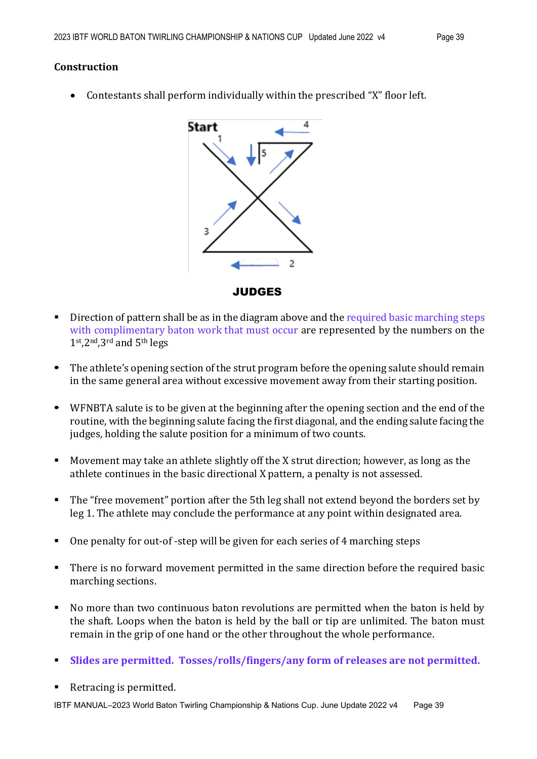#### **Construction**

• Contestants shall perform individually within the prescribed "X" floor left.



- $\blacksquare$  Direction of pattern shall be as in the diagram above and the required basic marching steps with complimentary baton work that must occur are represented by the numbers on the 1st,2nd,3rd and 5th legs
- The athlete's opening section of the strut program before the opening salute should remain in the same general area without excessive movement away from their starting position.
- WFNBTA salute is to be given at the beginning after the opening section and the end of the routine, with the beginning salute facing the first diagonal, and the ending salute facing the judges, holding the salute position for a minimum of two counts.
- Movement may take an athlete slightly off the X strut direction; however, as long as the athlete continues in the basic directional X pattern, a penalty is not assessed.
- The "free movement" portion after the 5th leg shall not extend beyond the borders set by leg 1. The athlete may conclude the performance at any point within designated area.
- One penalty for out-of -step will be given for each series of 4 marching steps
- There is no forward movement permitted in the same direction before the required basic marching sections.
- No more than two continuous baton revolutions are permitted when the baton is held by the shaft. Loops when the baton is held by the ball or tip are unlimited. The baton must remain in the grip of one hand or the other throughout the whole performance.
- **Slides are permitted. Tosses/rolls/fingers/any form of releases are not permitted.**
- Retracing is permitted.

IBTF MANUAL–2023 World Baton Twirling Championship & Nations Cup. June Update 2022 v4 Page 39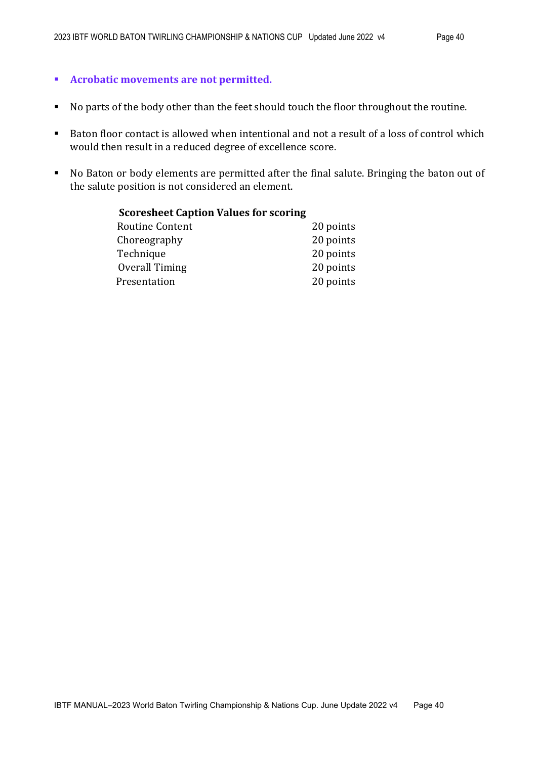#### **Acrobatic movements are not permitted.**

- No parts of the body other than the feet should touch the floor throughout the routine.
- Baton floor contact is allowed when intentional and not a result of a loss of control which would then result in a reduced degree of excellence score.
- No Baton or body elements are permitted after the final salute. Bringing the baton out of the salute position is not considered an element.

| <b>Scoresheet Caption Values for scoring</b> |           |
|----------------------------------------------|-----------|
| Routine Content                              | 20 points |
| Choreography                                 | 20 points |
| Technique                                    | 20 points |
| Overall Timing                               | 20 points |
| Presentation                                 | 20 points |
|                                              |           |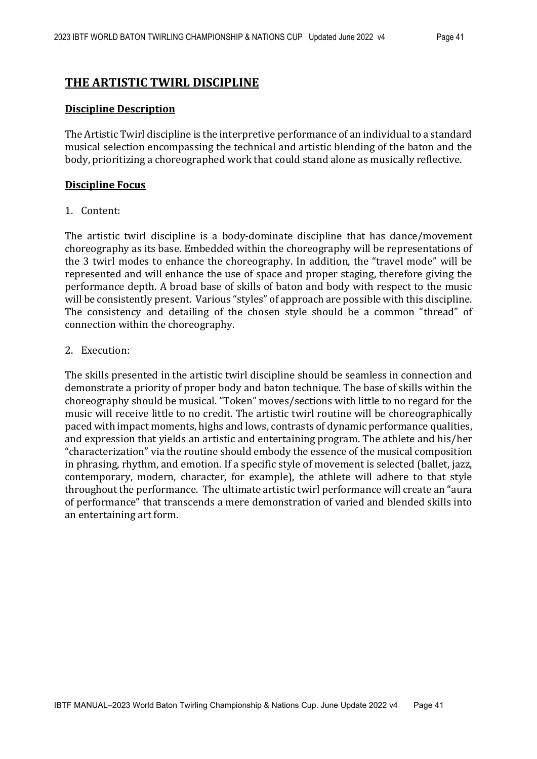#### **THE ARTISTIC TWIRL DISCIPLINE**

#### **Discipline Description**

The Artistic Twirl discipline is the interpretive performance of an individual to a standard musical selection encompassing the technical and artistic blending of the baton and the body, prioritizing a choreographed work that could stand alone as musically reflective.

#### **Discipline Focus**

#### 1. Content:

The artistic twirl discipline is a body-dominate discipline that has dance/movement choreography as its base. Embedded within the choreography will be representations of the 3 twirl modes to enhance the choreography. In addition, the "travel mode" will be represented and will enhance the use of space and proper staging, therefore giving the performance depth. A broad base of skills of baton and body with respect to the music will be consistently present. Various "styles" of approach are possible with this discipline. The consistency and detailing of the chosen style should be a common "thread" of connection within the choreography.

#### 2. Execution:

The skills presented in the artistic twirl discipline should be seamless in connection and demonstrate a priority of proper body and baton technique. The base of skills within the choreography should be musical. "Token" moves/sections with little to no regard for the music will receive little to no credit. The artistic twirl routine will be choreographically paced with impact moments, highs and lows, contrasts of dynamic performance qualities, and expression that yields an artistic and entertaining program. The athlete and his/her "characterization" via the routine should embody the essence of the musical composition in phrasing, rhythm, and emotion. If a specific style of movement is selected (ballet, jazz, contemporary, modern, character, for example), the athlete will adhere to that style throughout the performance. The ultimate artistic twirl performance will create an "aura of performance" that transcends a mere demonstration of varied and blended skills into an entertaining art form.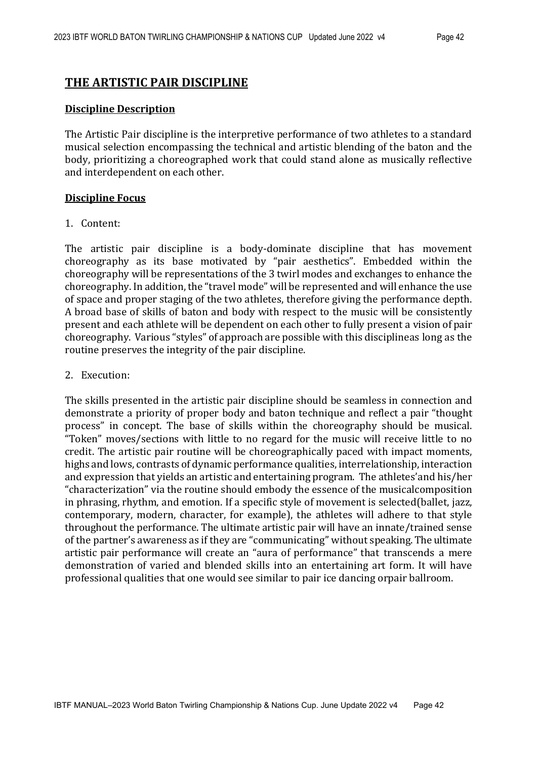#### **THE ARTISTIC PAIR DISCIPLINE**

#### **Discipline Description**

The Artistic Pair discipline is the interpretive performance of two athletes to a standard musical selection encompassing the technical and artistic blending of the baton and the body, prioritizing a choreographed work that could stand alone as musically reflective and interdependent on each other.

#### **Discipline Focus**

#### 1. Content:

The artistic pair discipline is a body-dominate discipline that has movement choreography as its base motivated by "pair aesthetics". Embedded within the choreography will be representations of the 3 twirl modes and exchanges to enhance the choreography. In addition, the "travel mode" will be represented and will enhance the use of space and proper staging of the two athletes, therefore giving the performance depth. A broad base of skills of baton and body with respect to the music will be consistently present and each athlete will be dependent on each other to fully present a vision of pair choreography. Various "styles" of approach are possible with this disciplineas long as the routine preserves the integrity of the pair discipline.

#### 2. Execution:

The skills presented in the artistic pair discipline should be seamless in connection and demonstrate a priority of proper body and baton technique and reflect a pair "thought process" in concept. The base of skills within the choreography should be musical. "Token" moves/sections with little to no regard for the music will receive little to no credit. The artistic pair routine will be choreographically paced with impact moments, highs and lows, contrasts of dynamic performance qualities, interrelationship, interaction and expression that yields an artistic and entertaining program. The athletes'and his/her "characterization" via the routine should embody the essence of the musicalcomposition in phrasing, rhythm, and emotion. If a specific style of movement is selected(ballet, jazz, contemporary, modern, character, for example), the athletes will adhere to that style throughout the performance. The ultimate artistic pair will have an innate/trained sense of the partner's awareness as if they are "communicating" without speaking. The ultimate artistic pair performance will create an "aura of performance" that transcends a mere demonstration of varied and blended skills into an entertaining art form. It will have professional qualities that one would see similar to pair ice dancing orpair ballroom.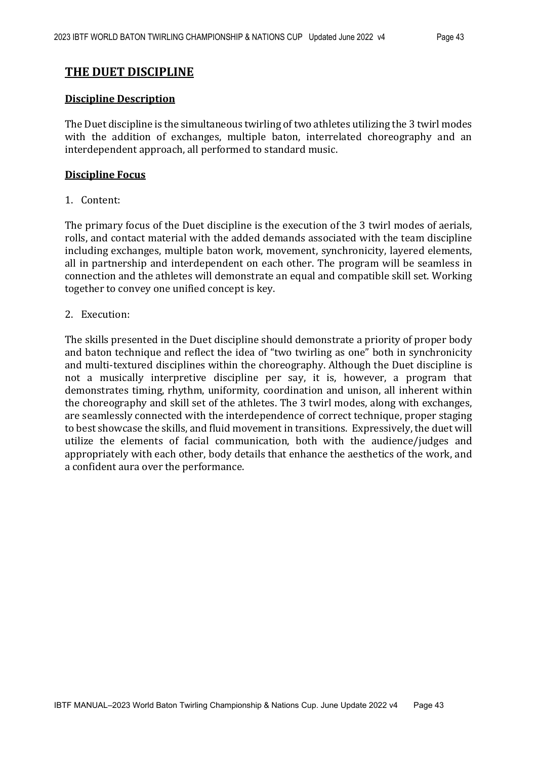#### **THE DUET DISCIPLINE**

#### **Discipline Description**

The Duet discipline is the simultaneous twirling of two athletes utilizing the 3 twirl modes with the addition of exchanges, multiple baton, interrelated choreography and an interdependent approach, all performed to standard music.

#### **Discipline Focus**

1. Content:

The primary focus of the Duet discipline is the execution of the 3 twirl modes of aerials, rolls, and contact material with the added demands associated with the team discipline including exchanges, multiple baton work, movement, synchronicity, layered elements, all in partnership and interdependent on each other. The program will be seamless in connection and the athletes will demonstrate an equal and compatible skill set. Working together to convey one unified concept is key.

#### 2. Execution:

The skills presented in the Duet discipline should demonstrate a priority of proper body and baton technique and reflect the idea of "two twirling as one" both in synchronicity and multi-textured disciplines within the choreography. Although the Duet discipline is not a musically interpretive discipline per say, it is, however, a program that demonstrates timing, rhythm, uniformity, coordination and unison, all inherent within the choreography and skill set of the athletes. The 3 twirl modes, along with exchanges, are seamlessly connected with the interdependence of correct technique, proper staging to best showcase the skills, and fluid movement in transitions. Expressively, the duet will utilize the elements of facial communication, both with the audience/judges and appropriately with each other, body details that enhance the aesthetics of the work, and a confident aura over the performance.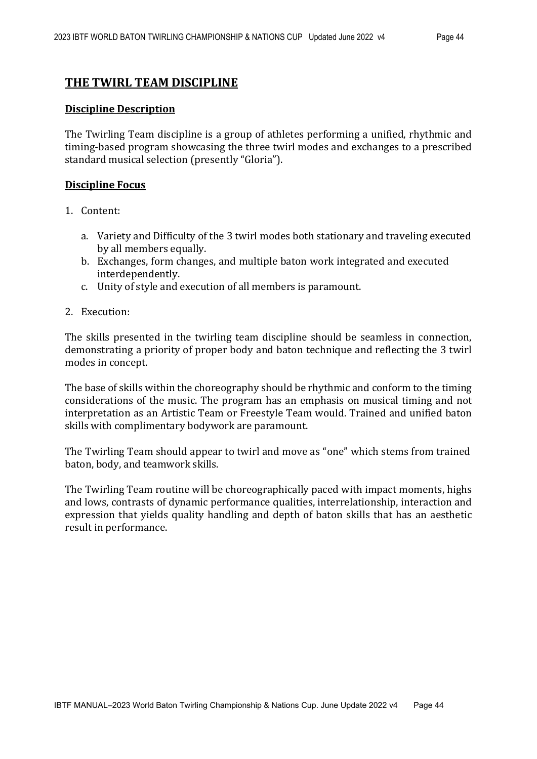#### **THE TWIRL TEAM DISCIPLINE**

#### **Discipline Description**

The Twirling Team discipline is a group of athletes performing a unified, rhythmic and timing-based program showcasing the three twirl modes and exchanges to a prescribed standard musical selection (presently "Gloria").

#### **Discipline Focus**

- 1. Content:
	- a. Variety and Difficulty of the 3 twirl modes both stationary and traveling executed by all members equally.
	- b. Exchanges, form changes, and multiple baton work integrated and executed interdependently.
	- c. Unity of style and execution of all members is paramount.
- 2. Execution:

The skills presented in the twirling team discipline should be seamless in connection, demonstrating a priority of proper body and baton technique and reflecting the 3 twirl modes in concept.

The base of skills within the choreography should be rhythmic and conform to the timing considerations of the music. The program has an emphasis on musical timing and not interpretation as an Artistic Team or Freestyle Team would. Trained and unified baton skills with complimentary bodywork are paramount.

The Twirling Team should appear to twirl and move as "one" which stems from trained baton, body, and teamwork skills.

The Twirling Team routine will be choreographically paced with impact moments, highs and lows, contrasts of dynamic performance qualities, interrelationship, interaction and expression that yields quality handling and depth of baton skills that has an aesthetic result in performance.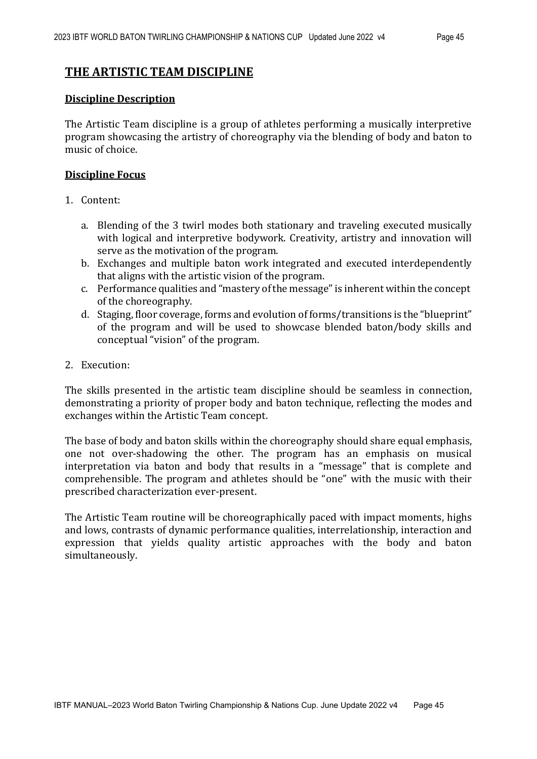#### **THE ARTISTIC TEAM DISCIPLINE**

#### **Discipline Description**

The Artistic Team discipline is a group of athletes performing a musically interpretive program showcasing the artistry of choreography via the blending of body and baton to music of choice.

#### **Discipline Focus**

- 1. Content:
	- a. Blending of the 3 twirl modes both stationary and traveling executed musically with logical and interpretive bodywork. Creativity, artistry and innovation will serve as the motivation of the program.
	- b. Exchanges and multiple baton work integrated and executed interdependently that aligns with the artistic vision of the program.
	- c. Performance qualities and "mastery ofthe message"is inherent within the concept of the choreography.
	- d. Staging, floor coverage, forms and evolution of forms/transitions is the "blueprint" of the program and will be used to showcase blended baton/body skills and conceptual "vision" of the program.
- 2. Execution:

The skills presented in the artistic team discipline should be seamless in connection, demonstrating a priority of proper body and baton technique, reflecting the modes and exchanges within the Artistic Team concept.

The base of body and baton skills within the choreography should share equal emphasis, one not over-shadowing the other. The program has an emphasis on musical interpretation via baton and body that results in a "message" that is complete and comprehensible. The program and athletes should be "one" with the music with their prescribed characterization ever-present.

The Artistic Team routine will be choreographically paced with impact moments, highs and lows, contrasts of dynamic performance qualities, interrelationship, interaction and expression that yields quality artistic approaches with the body and baton simultaneously.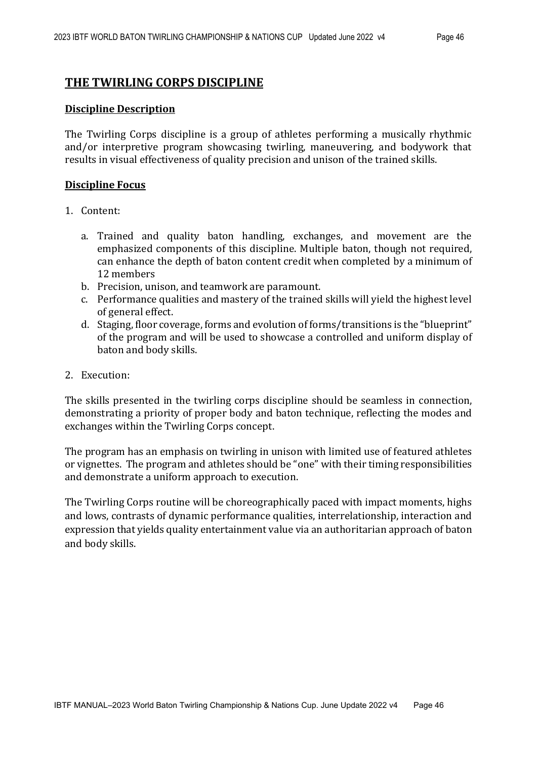#### **THE TWIRLING CORPS DISCIPLINE**

#### **Discipline Description**

The Twirling Corps discipline is a group of athletes performing a musically rhythmic and/or interpretive program showcasing twirling, maneuvering, and bodywork that results in visual effectiveness of quality precision and unison of the trained skills.

#### **Discipline Focus**

- 1. Content:
	- a. Trained and quality baton handling, exchanges, and movement are the emphasized components of this discipline. Multiple baton, though not required, can enhance the depth of baton content credit when completed by a minimum of 12 members
	- b. Precision, unison, and teamwork are paramount.
	- c. Performance qualities and mastery of the trained skills will yield the highest level of general effect.
	- d. Staging, floor coverage, forms and evolution of forms/transitions is the "blueprint" of the program and will be used to showcase a controlled and uniform display of baton and body skills.
- 2. Execution:

The skills presented in the twirling corps discipline should be seamless in connection, demonstrating a priority of proper body and baton technique, reflecting the modes and exchanges within the Twirling Corps concept.

The program has an emphasis on twirling in unison with limited use of featured athletes or vignettes. The program and athletes should be "one" with their timing responsibilities and demonstrate a uniform approach to execution.

The Twirling Corps routine will be choreographically paced with impact moments, highs and lows, contrasts of dynamic performance qualities, interrelationship, interaction and expression that yields quality entertainment value via an authoritarian approach of baton and body skills.